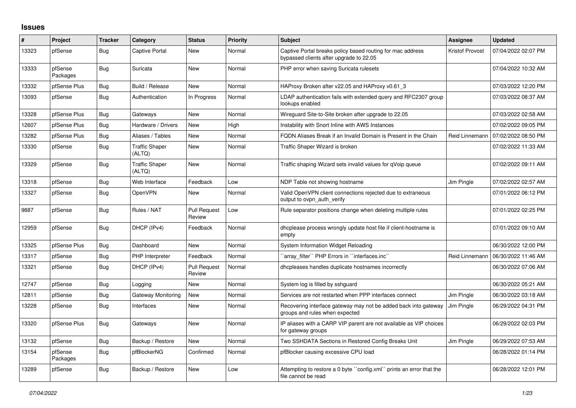## **Issues**

| #     | Project             | <b>Tracker</b> | Category                        | <b>Status</b>                 | <b>Priority</b> | <b>Subject</b>                                                                                        | <b>Assignee</b>        | <b>Updated</b>      |
|-------|---------------------|----------------|---------------------------------|-------------------------------|-----------------|-------------------------------------------------------------------------------------------------------|------------------------|---------------------|
| 13323 | pfSense             | <b>Bug</b>     | Captive Portal                  | New                           | Normal          | Captive Portal breaks policy based routing for mac address<br>bypassed clients after upgrade to 22.05 | <b>Kristof Provost</b> | 07/04/2022 02:07 PM |
| 13333 | pfSense<br>Packages | Bug            | Suricata                        | New                           | Normal          | PHP error when saving Suricata rulesets                                                               |                        | 07/04/2022 10:32 AM |
| 13332 | pfSense Plus        | Bug            | Build / Release                 | <b>New</b>                    | Normal          | HAProxy Broken after v22.05 and HAProxy v0.61 3                                                       |                        | 07/03/2022 12:20 PM |
| 13093 | pfSense             | <b>Bug</b>     | Authentication                  | In Progress                   | Normal          | LDAP authentication fails with extended query and RFC2307 group<br>lookups enabled                    |                        | 07/03/2022 08:37 AM |
| 13328 | pfSense Plus        | Bug            | Gateways                        | <b>New</b>                    | Normal          | Wireguard Site-to-Site broken after upgrade to 22.05                                                  |                        | 07/03/2022 02:58 AM |
| 12607 | pfSense Plus        | Bug            | Hardware / Drivers              | <b>New</b>                    | High            | Instability with Snort Inline with AWS Instances                                                      |                        | 07/02/2022 09:05 PM |
| 13282 | pfSense Plus        | Bug            | Aliases / Tables                | New                           | Normal          | FQDN Aliases Break if an Invalid Domain is Present in the Chain                                       | Reid Linnemann         | 07/02/2022 08:50 PM |
| 13330 | pfSense             | Bug            | <b>Traffic Shaper</b><br>(ALTQ) | <b>New</b>                    | Normal          | Traffic Shaper Wizard is broken                                                                       |                        | 07/02/2022 11:33 AM |
| 13329 | pfSense             | Bug            | <b>Traffic Shaper</b><br>(ALTQ) | <b>New</b>                    | Normal          | Traffic shaping Wizard sets invalid values for qVoip queue                                            |                        | 07/02/2022 09:11 AM |
| 13318 | pfSense             | <b>Bug</b>     | Web Interface                   | Feedback                      | Low             | NDP Table not showing hostname                                                                        | Jim Pingle             | 07/02/2022 02:57 AM |
| 13327 | pfSense             | <b>Bug</b>     | OpenVPN                         | <b>New</b>                    | Normal          | Valid OpenVPN client connections rejected due to extraneous<br>output to ovpn auth verify             |                        | 07/01/2022 06:12 PM |
| 9887  | pfSense             | Bug            | Rules / NAT                     | <b>Pull Request</b><br>Review | Low             | Rule separator positions change when deleting multiple rules                                          |                        | 07/01/2022 02:25 PM |
| 12959 | pfSense             | Bug            | DHCP (IPv4)                     | Feedback                      | Normal          | dhcplease process wrongly update host file if client-hostname is<br>empty                             |                        | 07/01/2022 09:10 AM |
| 13325 | pfSense Plus        | Bug            | Dashboard                       | <b>New</b>                    | Normal          | System Information Widget Reloading                                                                   |                        | 06/30/2022 12:00 PM |
| 13317 | pfSense             | Bug            | <b>PHP</b> Interpreter          | Feedback                      | Normal          | 'array_filter'' PHP Errors in "interfaces.inc"                                                        | Reid Linnemann         | 06/30/2022 11:46 AM |
| 13321 | pfSense             | <b>Bug</b>     | DHCP (IPv4)                     | <b>Pull Request</b><br>Review | Normal          | dhcpleases handles duplicate hostnames incorrectly                                                    |                        | 06/30/2022 07:06 AM |
| 12747 | pfSense             | Bug            | Logging                         | New                           | Normal          | System log is filled by sshguard                                                                      |                        | 06/30/2022 05:21 AM |
| 12811 | pfSense             | <b>Bug</b>     | Gateway Monitoring              | <b>New</b>                    | Normal          | Services are not restarted when PPP interfaces connect                                                | <b>Jim Pingle</b>      | 06/30/2022 03:18 AM |
| 13228 | pfSense             | Bug            | Interfaces                      | New                           | Normal          | Recovering interface gateway may not be added back into gateway<br>groups and rules when expected     | Jim Pingle             | 06/29/2022 04:31 PM |
| 13320 | pfSense Plus        | Bug            | Gateways                        | New                           | Normal          | IP aliases with a CARP VIP parent are not available as VIP choices<br>for gateway groups              |                        | 06/29/2022 02:03 PM |
| 13132 | pfSense             | <b>Bug</b>     | Backup / Restore                | <b>New</b>                    | Normal          | Two SSHDATA Sections in Restored Config Breaks Unit                                                   | Jim Pingle             | 06/29/2022 07:53 AM |
| 13154 | pfSense<br>Packages | <b>Bug</b>     | pfBlockerNG                     | Confirmed                     | Normal          | pfBlocker causing excessive CPU load                                                                  |                        | 06/28/2022 01:14 PM |
| 13289 | pfSense             | <b>Bug</b>     | Backup / Restore                | <b>New</b>                    | Low             | Attempting to restore a 0 byte "config.xml" prints an error that the<br>file cannot be read           |                        | 06/28/2022 12:01 PM |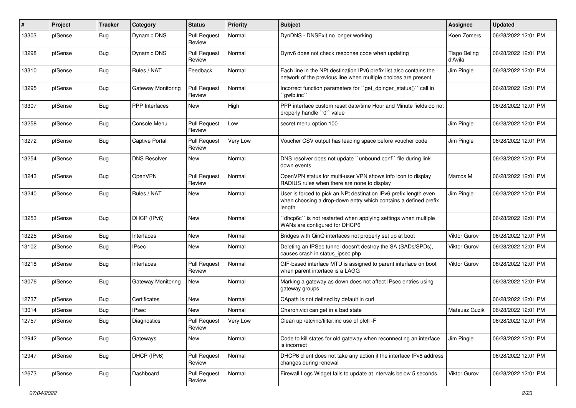| #     | Project | <b>Tracker</b> | Category              | <b>Status</b>                 | <b>Priority</b> | <b>Subject</b>                                                                                                                                 | <b>Assignee</b>                | <b>Updated</b>      |
|-------|---------|----------------|-----------------------|-------------------------------|-----------------|------------------------------------------------------------------------------------------------------------------------------------------------|--------------------------------|---------------------|
| 13303 | pfSense | Bug            | Dynamic DNS           | <b>Pull Request</b><br>Review | Normal          | DynDNS - DNSExit no longer working                                                                                                             | Koen Zomers                    | 06/28/2022 12:01 PM |
| 13298 | pfSense | Bug            | Dynamic DNS           | <b>Pull Request</b><br>Review | Normal          | Dynv6 does not check response code when updating                                                                                               | <b>Tiago Beling</b><br>d'Avila | 06/28/2022 12:01 PM |
| 13310 | pfSense | <b>Bug</b>     | Rules / NAT           | Feedback                      | Normal          | Each line in the NPt destination IPv6 prefix list also contains the<br>network of the previous line when multiple choices are present          | Jim Pingle                     | 06/28/2022 12:01 PM |
| 13295 | pfSense | Bug            | Gateway Monitoring    | <b>Pull Request</b><br>Review | Normal          | Incorrect function parameters for "get dpinger status()" call in<br>`gwlb.inc``                                                                |                                | 06/28/2022 12:01 PM |
| 13307 | pfSense | Bug            | PPP Interfaces        | New                           | High            | PPP interface custom reset date/time Hour and Minute fields do not<br>properly handle "0" value                                                |                                | 06/28/2022 12:01 PM |
| 13258 | pfSense | Bug            | Console Menu          | Pull Request<br>Review        | Low             | secret menu option 100                                                                                                                         | Jim Pingle                     | 06/28/2022 12:01 PM |
| 13272 | pfSense | Bug            | <b>Captive Portal</b> | <b>Pull Request</b><br>Review | Very Low        | Voucher CSV output has leading space before voucher code                                                                                       | Jim Pingle                     | 06/28/2022 12:01 PM |
| 13254 | pfSense | Bug            | <b>DNS Resolver</b>   | New                           | Normal          | DNS resolver does not update "unbound.conf" file during link<br>down events                                                                    |                                | 06/28/2022 12:01 PM |
| 13243 | pfSense | Bug            | OpenVPN               | <b>Pull Request</b><br>Review | Normal          | OpenVPN status for multi-user VPN shows info icon to display<br>RADIUS rules when there are none to display                                    | Marcos M                       | 06/28/2022 12:01 PM |
| 13240 | pfSense | <b>Bug</b>     | Rules / NAT           | New                           | Normal          | User is forced to pick an NPt destination IPv6 prefix length even<br>when choosing a drop-down entry which contains a defined prefix<br>length | Jim Pingle                     | 06/28/2022 12:01 PM |
| 13253 | pfSense | Bug            | DHCP (IPv6)           | New                           | Normal          | 'dhcp6c' is not restarted when applying settings when multiple<br>WANs are configured for DHCP6                                                |                                | 06/28/2022 12:01 PM |
| 13225 | pfSense | <b>Bug</b>     | Interfaces            | New                           | Normal          | Bridges with QinQ interfaces not properly set up at boot                                                                                       | <b>Viktor Gurov</b>            | 06/28/2022 12:01 PM |
| 13102 | pfSense | Bug            | <b>IPsec</b>          | New                           | Normal          | Deleting an IPSec tunnel doesn't destroy the SA (SADs/SPDs),<br>causes crash in status_ipsec.php                                               | <b>Viktor Gurov</b>            | 06/28/2022 12:01 PM |
| 13218 | pfSense | Bug            | Interfaces            | <b>Pull Request</b><br>Review | Normal          | GIF-based interface MTU is assigned to parent interface on boot<br>when parent interface is a LAGG                                             | <b>Viktor Gurov</b>            | 06/28/2022 12:01 PM |
| 13076 | pfSense | Bug            | Gateway Monitoring    | New                           | Normal          | Marking a gateway as down does not affect IPsec entries using<br>gateway groups                                                                |                                | 06/28/2022 12:01 PM |
| 12737 | pfSense | Bug            | Certificates          | New                           | Normal          | CApath is not defined by default in curl                                                                                                       |                                | 06/28/2022 12:01 PM |
| 13014 | pfSense | <b>Bug</b>     | <b>IPsec</b>          | New                           | Normal          | Charon.vici can get in a bad state                                                                                                             | Mateusz Guzik                  | 06/28/2022 12:01 PM |
| 12757 | pfSense | Bug            | Diagnostics           | <b>Pull Request</b><br>Review | Very Low        | Clean up /etc/inc/filter.inc use of pfctl -F                                                                                                   |                                | 06/28/2022 12:01 PM |
| 12942 | pfSense | <b>Bug</b>     | Gateways              | New                           | Normal          | Code to kill states for old gateway when reconnecting an interface<br>is incorrect                                                             | Jim Pingle                     | 06/28/2022 12:01 PM |
| 12947 | pfSense | <b>Bug</b>     | DHCP (IPv6)           | <b>Pull Request</b><br>Review | Normal          | DHCP6 client does not take any action if the interface IPv6 address<br>changes during renewal                                                  |                                | 06/28/2022 12:01 PM |
| 12673 | pfSense | <b>Bug</b>     | Dashboard             | <b>Pull Request</b><br>Review | Normal          | Firewall Logs Widget fails to update at intervals below 5 seconds.                                                                             | Viktor Gurov                   | 06/28/2022 12:01 PM |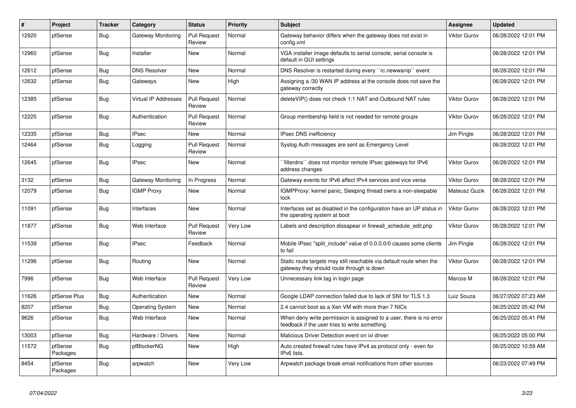| #     | <b>Project</b>      | <b>Tracker</b> | Category                | <b>Status</b>                 | Priority | <b>Subject</b>                                                                                                       | <b>Assignee</b> | <b>Updated</b>      |
|-------|---------------------|----------------|-------------------------|-------------------------------|----------|----------------------------------------------------------------------------------------------------------------------|-----------------|---------------------|
| 12920 | pfSense             | Bug            | Gateway Monitoring      | <b>Pull Request</b><br>Review | Normal   | Gateway behavior differs when the gateway does not exist in<br>config.xml                                            | Viktor Gurov    | 06/28/2022 12:01 PM |
| 12960 | pfSense             | <b>Bug</b>     | Installer               | New                           | Normal   | VGA installer image defaults to serial console, serial console is<br>default in GUI settings                         |                 | 06/28/2022 12:01 PM |
| 12612 | pfSense             | <b>Bug</b>     | <b>DNS Resolver</b>     | <b>New</b>                    | Normal   | DNS Resolver is restarted during every "rc.newwanip" event                                                           |                 | 06/28/2022 12:01 PM |
| 12632 | pfSense             | Bug            | Gateways                | New                           | High     | Assigning a /30 WAN IP address at the console does not save the<br>gateway correctly                                 |                 | 06/28/2022 12:01 PM |
| 12385 | pfSense             | <b>Bug</b>     | Virtual IP Addresses    | <b>Pull Request</b><br>Review | Normal   | delete VIP() does not check 1:1 NAT and Outbound NAT rules                                                           | Viktor Gurov    | 06/28/2022 12:01 PM |
| 12225 | pfSense             | <b>Bug</b>     | Authentication          | <b>Pull Request</b><br>Review | Normal   | Group membership field is not needed for remote groups                                                               | Viktor Gurov    | 06/28/2022 12:01 PM |
| 12335 | pfSense             | <b>Bug</b>     | <b>IPsec</b>            | New                           | Normal   | IPsec DNS inefficiency                                                                                               | Jim Pingle      | 06/28/2022 12:01 PM |
| 12464 | pfSense             | Bug            | Logging                 | <b>Pull Request</b><br>Review | Normal   | Syslog Auth messages are sent as Emergency Level                                                                     |                 | 06/28/2022 12:01 PM |
| 12645 | pfSense             | <b>Bug</b>     | <b>IPsec</b>            | <b>New</b>                    | Normal   | filterdns" does not monitor remote IPsec gateways for IPv6<br>address changes                                        | Viktor Gurov    | 06/28/2022 12:01 PM |
| 3132  | pfSense             | Bug            | Gateway Monitoring      | In Progress                   | Normal   | Gateway events for IPv6 affect IPv4 services and vice versa                                                          | Viktor Gurov    | 06/28/2022 12:01 PM |
| 12079 | pfSense             | <b>Bug</b>     | <b>IGMP Proxy</b>       | <b>New</b>                    | Normal   | IGMPProxy: kernel panic, Sleeping thread owns a non-sleepable<br>lock                                                | Mateusz Guzik   | 06/28/2022 12:01 PM |
| 11091 | pfSense             | <b>Bug</b>     | Interfaces              | <b>New</b>                    | Normal   | Interfaces set as disabled in the configuration have an UP status in<br>the operating system at boot                 | Viktor Gurov    | 06/28/2022 12:01 PM |
| 11877 | pfSense             | Bug            | Web Interface           | <b>Pull Request</b><br>Review | Very Low | Labels and description dissapear in firewall schedule edit.php                                                       | Viktor Gurov    | 06/28/2022 12:01 PM |
| 11539 | pfSense             | <b>Bug</b>     | <b>IPsec</b>            | Feedback                      | Normal   | Mobile IPsec "split include" value of 0.0.0.0/0 causes some clients<br>to fail                                       | Jim Pingle      | 06/28/2022 12:01 PM |
| 11296 | pfSense             | <b>Bug</b>     | Routing                 | New                           | Normal   | Static route targets may still reachable via default route when the<br>gateway they should route through is down     | Viktor Gurov    | 06/28/2022 12:01 PM |
| 7996  | pfSense             | <b>Bug</b>     | Web Interface           | <b>Pull Request</b><br>Review | Very Low | Unnecessary link tag in login page                                                                                   | Marcos M        | 06/28/2022 12:01 PM |
| 11626 | pfSense Plus        | <b>Bug</b>     | Authentication          | New                           | Normal   | Google LDAP connection failed due to lack of SNI for TLS 1.3                                                         | Luiz Souza      | 06/27/2022 07:23 AM |
| 8207  | pfSense             | Bug            | <b>Operating System</b> | New                           | Normal   | 2.4 cannot boot as a Xen VM with more than 7 NICs                                                                    |                 | 06/25/2022 05:42 PM |
| 9626  | pfSense             | <b>Bug</b>     | Web Interface           | New                           | Normal   | When deny write permission is assigned to a user, there is no error<br>feedback if the user tries to write something |                 | 06/25/2022 05:41 PM |
| 13003 | pfSense             | Bug            | Hardware / Drivers      | <b>New</b>                    | Normal   | Malicious Driver Detection event on ixl driver                                                                       |                 | 06/25/2022 05:00 PM |
| 11572 | pfSense<br>Packages | Bug            | pfBlockerNG             | New                           | High     | Auto created firewall rules have IPv4 as protocol only - even for<br>IPv6 lists.                                     |                 | 06/25/2022 10:59 AM |
| 8454  | pfSense<br>Packages | Bug            | arpwatch                | <b>New</b>                    | Very Low | Arpwatch package break email notifications from other sources                                                        |                 | 06/23/2022 07:49 PM |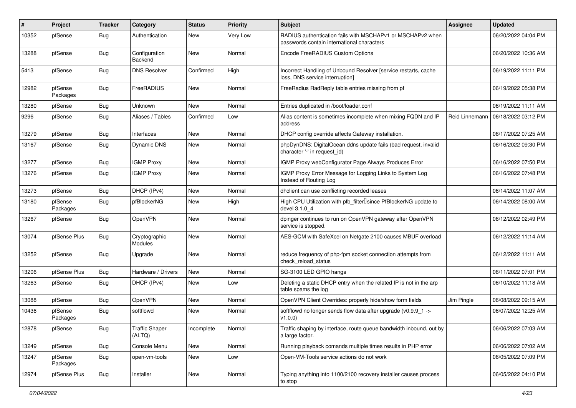| #     | Project             | Tracker    | Category                        | <b>Status</b> | <b>Priority</b> | Subject                                                                                                  | <b>Assignee</b> | <b>Updated</b>      |
|-------|---------------------|------------|---------------------------------|---------------|-----------------|----------------------------------------------------------------------------------------------------------|-----------------|---------------------|
| 10352 | pfSense             | Bug        | Authentication                  | New           | Very Low        | RADIUS authentication fails with MSCHAPv1 or MSCHAPv2 when<br>passwords contain international characters |                 | 06/20/2022 04:04 PM |
| 13288 | pfSense             | Bug        | Configuration<br>Backend        | <b>New</b>    | Normal          | Encode FreeRADIUS Custom Options                                                                         |                 | 06/20/2022 10:36 AM |
| 5413  | pfSense             | <b>Bug</b> | <b>DNS Resolver</b>             | Confirmed     | High            | Incorrect Handling of Unbound Resolver [service restarts, cache<br>loss, DNS service interruption]       |                 | 06/19/2022 11:11 PM |
| 12982 | pfSense<br>Packages | Bug        | FreeRADIUS                      | New           | Normal          | FreeRadius RadReply table entries missing from pf                                                        |                 | 06/19/2022 05:38 PM |
| 13280 | pfSense             | <b>Bug</b> | Unknown                         | New           | Normal          | Entries duplicated in /boot/loader.conf                                                                  |                 | 06/19/2022 11:11 AM |
| 9296  | pfSense             | Bug        | Aliases / Tables                | Confirmed     | Low             | Alias content is sometimes incomplete when mixing FQDN and IP<br>address                                 | Reid Linnemann  | 06/18/2022 03:12 PM |
| 13279 | pfSense             | Bug        | Interfaces                      | <b>New</b>    | Normal          | DHCP config override affects Gateway installation.                                                       |                 | 06/17/2022 07:25 AM |
| 13167 | pfSense             | <b>Bug</b> | Dynamic DNS                     | New           | Normal          | phpDynDNS: DigitalOcean ddns update fails (bad request, invalid<br>character '-' in request_id)          |                 | 06/16/2022 09:30 PM |
| 13277 | pfSense             | Bug        | <b>IGMP Proxy</b>               | New           | Normal          | IGMP Proxy webConfigurator Page Always Produces Error                                                    |                 | 06/16/2022 07:50 PM |
| 13276 | pfSense             | <b>Bug</b> | <b>IGMP Proxy</b>               | New           | Normal          | IGMP Proxy Error Message for Logging Links to System Log<br>Instead of Routing Log                       |                 | 06/16/2022 07:48 PM |
| 13273 | pfSense             | <b>Bug</b> | DHCP (IPv4)                     | New           | Normal          | dhclient can use conflicting recorded leases                                                             |                 | 06/14/2022 11:07 AM |
| 13180 | pfSense<br>Packages | <b>Bug</b> | pfBlockerNG                     | New           | High            | High CPU Utilization with pfb_filter <sup>[]</sup> since PfBlockerNG update to<br>devel 3.1.0_4          |                 | 06/14/2022 08:00 AM |
| 13267 | pfSense             | Bug        | OpenVPN                         | <b>New</b>    | Normal          | dpinger continues to run on OpenVPN gateway after OpenVPN<br>service is stopped.                         |                 | 06/12/2022 02:49 PM |
| 13074 | pfSense Plus        | Bug        | Cryptographic<br>Modules        | New           | Normal          | AES-GCM with SafeXcel on Netgate 2100 causes MBUF overload                                               |                 | 06/12/2022 11:14 AM |
| 13252 | pfSense             | Bug        | Upgrade                         | New           | Normal          | reduce frequency of php-fpm socket connection attempts from<br>check reload status                       |                 | 06/12/2022 11:11 AM |
| 13206 | pfSense Plus        | Bug        | Hardware / Drivers              | New           | Normal          | SG-3100 LED GPIO hangs                                                                                   |                 | 06/11/2022 07:01 PM |
| 13263 | pfSense             | <b>Bug</b> | DHCP (IPv4)                     | New           | Low             | Deleting a static DHCP entry when the related IP is not in the arp<br>table spams the log                |                 | 06/10/2022 11:18 AM |
| 13088 | pfSense             | <b>Bug</b> | OpenVPN                         | New           | Normal          | OpenVPN Client Overrides: properly hide/show form fields                                                 | Jim Pingle      | 06/08/2022 09:15 AM |
| 10436 | pfSense<br>Packages | Bug        | softflowd                       | New           | Normal          | softflowd no longer sends flow data after upgrade (v0.9.9_1 -><br>v1.0.0                                 |                 | 06/07/2022 12:25 AM |
| 12878 | pfSense             | <b>Bug</b> | <b>Traffic Shaper</b><br>(ALTQ) | Incomplete    | Normal          | Traffic shaping by interface, route queue bandwidth inbound, out by<br>a large factor.                   |                 | 06/06/2022 07:03 AM |
| 13249 | pfSense             | Bug        | Console Menu                    | New           | Normal          | Running playback comands multiple times results in PHP error                                             |                 | 06/06/2022 07:02 AM |
| 13247 | pfSense<br>Packages | <b>Bug</b> | open-vm-tools                   | New           | Low             | Open-VM-Tools service actions do not work                                                                |                 | 06/05/2022 07:09 PM |
| 12974 | pfSense Plus        | <b>Bug</b> | Installer                       | New           | Normal          | Typing anything into 1100/2100 recovery installer causes process<br>to stop                              |                 | 06/05/2022 04:10 PM |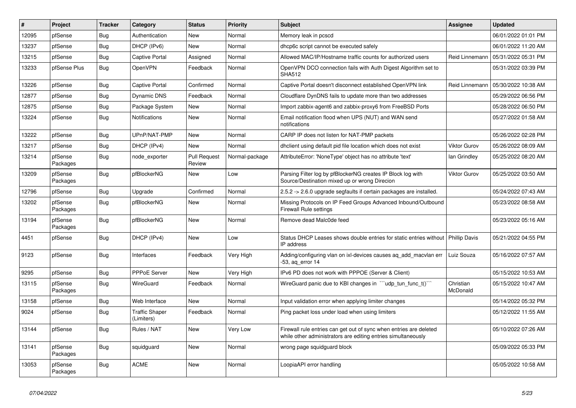| $\vert$ # | Project             | <b>Tracker</b> | Category                            | <b>Status</b>                 | Priority       | <b>Subject</b>                                                                                                                      | <b>Assignee</b>       | <b>Updated</b>      |
|-----------|---------------------|----------------|-------------------------------------|-------------------------------|----------------|-------------------------------------------------------------------------------------------------------------------------------------|-----------------------|---------------------|
| 12095     | pfSense             | <b>Bug</b>     | Authentication                      | New                           | Normal         | Memory leak in pcscd                                                                                                                |                       | 06/01/2022 01:01 PM |
| 13237     | pfSense             | Bug            | DHCP (IPv6)                         | <b>New</b>                    | Normal         | dhcp6c script cannot be executed safely                                                                                             |                       | 06/01/2022 11:20 AM |
| 13215     | pfSense             | Bug            | Captive Portal                      | Assigned                      | Normal         | Allowed MAC/IP/Hostname traffic counts for authorized users                                                                         | Reid Linnemann        | 05/31/2022 05:31 PM |
| 13233     | pfSense Plus        | Bug            | OpenVPN                             | Feedback                      | Normal         | OpenVPN DCO connection fails with Auth Digest Algorithm set to<br><b>SHA512</b>                                                     |                       | 05/31/2022 03:39 PM |
| 13226     | pfSense             | Bug            | Captive Portal                      | Confirmed                     | Normal         | Captive Portal doesn't disconnect established OpenVPN link                                                                          | Reid Linnemann        | 05/30/2022 10:38 AM |
| 12877     | pfSense             | <b>Bug</b>     | Dynamic DNS                         | Feedback                      | Normal         | Cloudflare DynDNS fails to update more than two addresses                                                                           |                       | 05/29/2022 06:56 PM |
| 12875     | pfSense             | <b>Bug</b>     | Package System                      | New                           | Normal         | Import zabbix-agent6 and zabbix-proxy6 from FreeBSD Ports                                                                           |                       | 05/28/2022 06:50 PM |
| 13224     | pfSense             | <b>Bug</b>     | Notifications                       | New                           | Normal         | Email notification flood when UPS (NUT) and WAN send<br>notifications                                                               |                       | 05/27/2022 01:58 AM |
| 13222     | pfSense             | Bug            | UPnP/NAT-PMP                        | New                           | Normal         | CARP IP does not listen for NAT-PMP packets                                                                                         |                       | 05/26/2022 02:28 PM |
| 13217     | pfSense             | <b>Bug</b>     | DHCP (IPv4)                         | <b>New</b>                    | Normal         | dhclient using default pid file location which does not exist                                                                       | Viktor Gurov          | 05/26/2022 08:09 AM |
| 13214     | pfSense<br>Packages | <b>Bug</b>     | node_exporter                       | <b>Pull Request</b><br>Review | Normal-package | AttributeError: 'NoneType' object has no attribute 'text'                                                                           | lan Grindley          | 05/25/2022 08:20 AM |
| 13209     | pfSense<br>Packages | <b>Bug</b>     | pfBlockerNG                         | <b>New</b>                    | Low            | Parsing Filter log by pfBlockerNG creates IP Block log with<br>Source/Destination mixed up or wrong Direcion                        | <b>Viktor Gurov</b>   | 05/25/2022 03:50 AM |
| 12796     | pfSense             | Bug            | Upgrade                             | Confirmed                     | Normal         | 2.5.2 -> 2.6.0 upgrade segfaults if certain packages are installed.                                                                 |                       | 05/24/2022 07:43 AM |
| 13202     | pfSense<br>Packages | Bug            | pfBlockerNG                         | New                           | Normal         | Missing Protocols on IP Feed Groups Advanced Inbound/Outbound<br>Firewall Rule settings                                             |                       | 05/23/2022 08:58 AM |
| 13194     | pfSense<br>Packages | <b>Bug</b>     | pfBlockerNG                         | New                           | Normal         | Remove dead Malc0de feed                                                                                                            |                       | 05/23/2022 05:16 AM |
| 4451      | pfSense             | <b>Bug</b>     | DHCP (IPv4)                         | <b>New</b>                    | Low            | Status DHCP Leases shows double entries for static entries without<br>IP address                                                    | Phillip Davis         | 05/21/2022 04:55 PM |
| 9123      | pfSense             | <b>Bug</b>     | Interfaces                          | Feedback                      | Very High      | Adding/configuring vlan on ixl-devices causes aq_add_macvlan err<br>-53, aq_error 14                                                | Luiz Souza            | 05/16/2022 07:57 AM |
| 9295      | pfSense             | Bug            | <b>PPPoE Server</b>                 | New                           | Very High      | IPv6 PD does not work with PPPOE (Server & Client)                                                                                  |                       | 05/15/2022 10:53 AM |
| 13115     | pfSense<br>Packages | Bug            | WireGuard                           | Feedback                      | Normal         | Wire Guard panic due to KBI changes in $\sqrt{u}$ udp tun func t() $\sqrt{u}$                                                       | Christian<br>McDonald | 05/15/2022 10:47 AM |
| 13158     | pfSense             | Bug            | Web Interface                       | <b>New</b>                    | Normal         | Input validation error when applying limiter changes                                                                                |                       | 05/14/2022 05:32 PM |
| 9024      | pfSense             | <b>Bug</b>     | <b>Traffic Shaper</b><br>(Limiters) | Feedback                      | Normal         | Ping packet loss under load when using limiters                                                                                     |                       | 05/12/2022 11:55 AM |
| 13144     | pfSense             | Bug            | Rules / NAT                         | <b>New</b>                    | Very Low       | Firewall rule entries can get out of sync when entries are deleted<br>while other administrators are editing entries simultaneously |                       | 05/10/2022 07:26 AM |
| 13141     | pfSense<br>Packages | Bug            | squidguard                          | New                           | Normal         | wrong page squidguard block                                                                                                         |                       | 05/09/2022 05:33 PM |
| 13053     | pfSense<br>Packages | <b>Bug</b>     | <b>ACME</b>                         | <b>New</b>                    | Normal         | LoopiaAPI error handling                                                                                                            |                       | 05/05/2022 10:58 AM |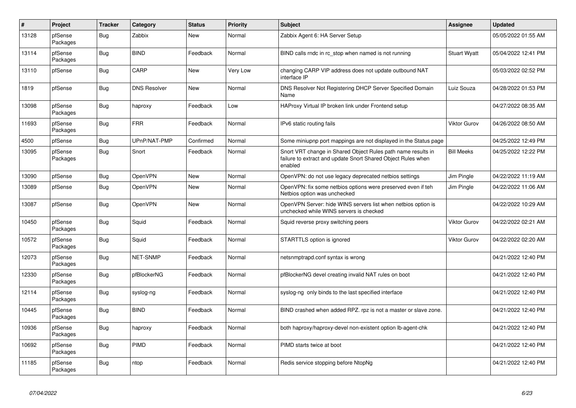| $\vert$ # | Project             | <b>Tracker</b> | Category            | <b>Status</b> | <b>Priority</b> | <b>Subject</b>                                                                                                                          | <b>Assignee</b>     | <b>Updated</b>      |
|-----------|---------------------|----------------|---------------------|---------------|-----------------|-----------------------------------------------------------------------------------------------------------------------------------------|---------------------|---------------------|
| 13128     | pfSense<br>Packages | Bug            | Zabbix              | New           | Normal          | Zabbix Agent 6: HA Server Setup                                                                                                         |                     | 05/05/2022 01:55 AM |
| 13114     | pfSense<br>Packages | Bug            | <b>BIND</b>         | Feedback      | Normal          | BIND calls rndc in rc stop when named is not running                                                                                    | <b>Stuart Wyatt</b> | 05/04/2022 12:41 PM |
| 13110     | pfSense             | Bug            | CARP                | <b>New</b>    | Very Low        | changing CARP VIP address does not update outbound NAT<br>interface IP                                                                  |                     | 05/03/2022 02:52 PM |
| 1819      | pfSense             | <b>Bug</b>     | <b>DNS Resolver</b> | <b>New</b>    | Normal          | DNS Resolver Not Registering DHCP Server Specified Domain<br>Name                                                                       | Luiz Souza          | 04/28/2022 01:53 PM |
| 13098     | pfSense<br>Packages | Bug            | haproxy             | Feedback      | Low             | HAProxy Virtual IP broken link under Frontend setup                                                                                     |                     | 04/27/2022 08:35 AM |
| 11693     | pfSense<br>Packages | Bug            | <b>FRR</b>          | Feedback      | Normal          | IPv6 static routing fails                                                                                                               | <b>Viktor Gurov</b> | 04/26/2022 08:50 AM |
| 4500      | pfSense             | <b>Bug</b>     | UPnP/NAT-PMP        | Confirmed     | Normal          | Some miniupnp port mappings are not displayed in the Status page                                                                        |                     | 04/25/2022 12:49 PM |
| 13095     | pfSense<br>Packages | <b>Bug</b>     | Snort               | Feedback      | Normal          | Snort VRT change in Shared Object Rules path name results in<br>failure to extract and update Snort Shared Object Rules when<br>enabled | <b>Bill Meeks</b>   | 04/25/2022 12:22 PM |
| 13090     | pfSense             | Bug            | <b>OpenVPN</b>      | <b>New</b>    | Normal          | OpenVPN: do not use legacy deprecated netbios settings                                                                                  | Jim Pingle          | 04/22/2022 11:19 AM |
| 13089     | pfSense             | <b>Bug</b>     | <b>OpenVPN</b>      | <b>New</b>    | Normal          | OpenVPN: fix some netbios options were preserved even if teh<br>Netbios option was unchecked                                            | Jim Pingle          | 04/22/2022 11:06 AM |
| 13087     | pfSense             | Bug            | OpenVPN             | New           | Normal          | OpenVPN Server: hide WINS servers list when netbios option is<br>unchecked while WINS servers is checked                                |                     | 04/22/2022 10:29 AM |
| 10450     | pfSense<br>Packages | Bug            | Squid               | Feedback      | Normal          | Squid reverse proxy switching peers                                                                                                     | <b>Viktor Gurov</b> | 04/22/2022 02:21 AM |
| 10572     | pfSense<br>Packages | <b>Bug</b>     | Squid               | Feedback      | Normal          | STARTTLS option is ignored                                                                                                              | <b>Viktor Gurov</b> | 04/22/2022 02:20 AM |
| 12073     | pfSense<br>Packages | <b>Bug</b>     | <b>NET-SNMP</b>     | Feedback      | Normal          | netsnmptrapd.conf syntax is wrong                                                                                                       |                     | 04/21/2022 12:40 PM |
| 12330     | pfSense<br>Packages | <b>Bug</b>     | pfBlockerNG         | Feedback      | Normal          | pfBlockerNG devel creating invalid NAT rules on boot                                                                                    |                     | 04/21/2022 12:40 PM |
| 12114     | pfSense<br>Packages | <b>Bug</b>     | syslog-ng           | Feedback      | Normal          | syslog-ng only binds to the last specified interface                                                                                    |                     | 04/21/2022 12:40 PM |
| 10445     | pfSense<br>Packages | <b>Bug</b>     | <b>BIND</b>         | Feedback      | Normal          | BIND crashed when added RPZ. rpz is not a master or slave zone.                                                                         |                     | 04/21/2022 12:40 PM |
| 10936     | pfSense<br>Packages | <b>Bug</b>     | haproxy             | Feedback      | Normal          | both haproxy/haproxy-devel non-existent option lb-agent-chk                                                                             |                     | 04/21/2022 12:40 PM |
| 10692     | pfSense<br>Packages | <b>Bug</b>     | <b>PIMD</b>         | Feedback      | Normal          | PIMD starts twice at boot                                                                                                               |                     | 04/21/2022 12:40 PM |
| 11185     | pfSense<br>Packages | Bug            | ntop                | Feedback      | Normal          | Redis service stopping before NtopNg                                                                                                    |                     | 04/21/2022 12:40 PM |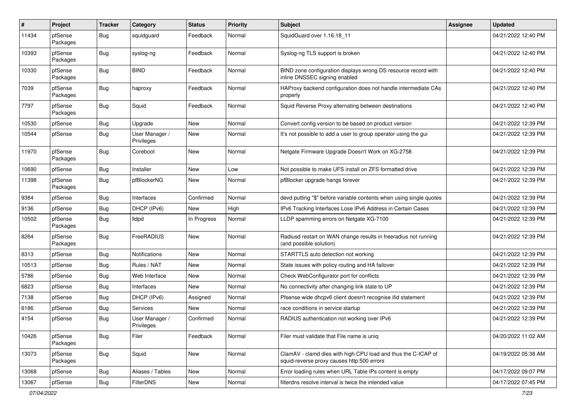| $\pmb{\#}$ | Project             | <b>Tracker</b> | Category                     | <b>Status</b> | <b>Priority</b> | <b>Subject</b>                                                                                              | Assignee | <b>Updated</b>      |
|------------|---------------------|----------------|------------------------------|---------------|-----------------|-------------------------------------------------------------------------------------------------------------|----------|---------------------|
| 11434      | pfSense<br>Packages | Bug            | squidguard                   | Feedback      | Normal          | SquidGuard over 1.16.18 11                                                                                  |          | 04/21/2022 12:40 PM |
| 10393      | pfSense<br>Packages | Bug            | syslog-ng                    | Feedback      | Normal          | Syslog-ng TLS support is broken                                                                             |          | 04/21/2022 12:40 PM |
| 10330      | pfSense<br>Packages | Bug            | <b>BIND</b>                  | Feedback      | Normal          | BIND zone configuration displays wrong DS resource record with<br>inline DNSSEC signing enabled             |          | 04/21/2022 12:40 PM |
| 7039       | pfSense<br>Packages | Bug            | haproxy                      | Feedback      | Normal          | HAProxy backend configuration does not handle intermediate CAs<br>properly                                  |          | 04/21/2022 12:40 PM |
| 7797       | pfSense<br>Packages | Bug            | Squid                        | Feedback      | Normal          | Squid Reverse Proxy alternating between destinations                                                        |          | 04/21/2022 12:40 PM |
| 10530      | pfSense             | <b>Bug</b>     | Upgrade                      | New           | Normal          | Convert config version to be based on product version                                                       |          | 04/21/2022 12:39 PM |
| 10544      | pfSense             | Bug            | User Manager /<br>Privileges | New           | Normal          | It's not possible to add a user to group operator using the gui                                             |          | 04/21/2022 12:39 PM |
| 11970      | pfSense<br>Packages | Bug            | Coreboot                     | New           | Normal          | Netgate Firmware Upgrade Doesn't Work on XG-2758                                                            |          | 04/21/2022 12:39 PM |
| 10690      | pfSense             | Bug            | Installer                    | New           | Low             | Not possible to make UFS install on ZFS formatted drive                                                     |          | 04/21/2022 12:39 PM |
| 11398      | pfSense<br>Packages | Bug            | pfBlockerNG                  | New           | Normal          | pfBlocker upgrade hangs forever                                                                             |          | 04/21/2022 12:39 PM |
| 9384       | pfSense             | Bug            | Interfaces                   | Confirmed     | Normal          | devd putting "\$" before variable contents when using single quotes                                         |          | 04/21/2022 12:39 PM |
| 9136       | pfSense             | Bug            | DHCP (IPv6)                  | New           | High            | IPv6 Tracking Interfaces Lose IPv6 Address in Certain Cases                                                 |          | 04/21/2022 12:39 PM |
| 10502      | pfSense<br>Packages | Bug            | lldpd                        | In Progress   | Normal          | LLDP spamming errors on Netgate XG-7100                                                                     |          | 04/21/2022 12:39 PM |
| 8264       | pfSense<br>Packages | Bug            | FreeRADIUS                   | New           | Normal          | Radiusd restart on WAN change results in freeradius not running<br>(and possible solution)                  |          | 04/21/2022 12:39 PM |
| 8313       | pfSense             | <b>Bug</b>     | Notifications                | New           | Normal          | STARTTLS auto detection not working                                                                         |          | 04/21/2022 12:39 PM |
| 10513      | pfSense             | Bug            | Rules / NAT                  | New           | Normal          | State issues with policy routing and HA failover                                                            |          | 04/21/2022 12:39 PM |
| 5786       | pfSense             | Bug            | Web Interface                | New           | Normal          | Check WebConfigurator port for conflicts                                                                    |          | 04/21/2022 12:39 PM |
| 6823       | pfSense             | Bug            | Interfaces                   | New           | Normal          | No connectivity after changing link state to UP                                                             |          | 04/21/2022 12:39 PM |
| 7138       | pfSense             | Bug            | DHCP (IPv6)                  | Assigned      | Normal          | Pfsense wide dhcpv6 client doesn't recognise ifid statement                                                 |          | 04/21/2022 12:39 PM |
| 6186       | pfSense             | Bug            | Services                     | New           | Normal          | race conditions in service startup                                                                          |          | 04/21/2022 12:39 PM |
| 4154       | pfSense             | Bug            | User Manager /<br>Privileges | Confirmed     | Normal          | RADIUS authentication not working over IPv6                                                                 |          | 04/21/2022 12:39 PM |
| 10426      | pfSense<br>Packages | Bug            | Filer                        | Feedback      | Normal          | Filer must validate that File name is uniq                                                                  |          | 04/20/2022 11:02 AM |
| 13073      | pfSense<br>Packages | Bug            | Squid                        | New           | Normal          | ClamAV - clamd dies with high CPU load and thus the C-ICAP of<br>squid-reverse proxy causes http:500 errors |          | 04/19/2022 05:38 AM |
| 13068      | pfSense             | <b>Bug</b>     | Aliases / Tables             | New           | Normal          | Error loading rules when URL Table IPs content is empty                                                     |          | 04/17/2022 09:07 PM |
| 13067      | pfSense             | <b>Bug</b>     | FilterDNS                    | New           | Normal          | filterdns resolve interval is twice the intended value                                                      |          | 04/17/2022 07:45 PM |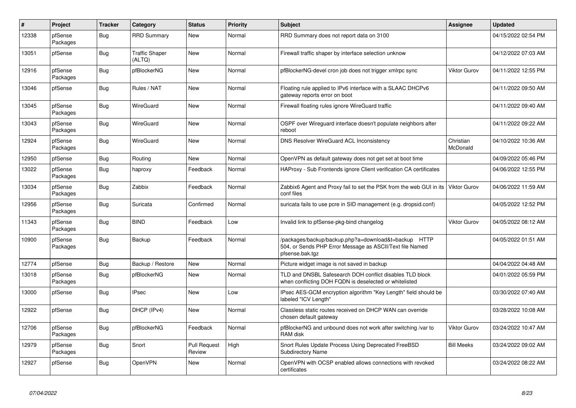| $\sharp$ | Project             | <b>Tracker</b> | Category                        | <b>Status</b>          | <b>Priority</b> | <b>Subject</b>                                                                                                                      | <b>Assignee</b>       | <b>Updated</b>      |
|----------|---------------------|----------------|---------------------------------|------------------------|-----------------|-------------------------------------------------------------------------------------------------------------------------------------|-----------------------|---------------------|
| 12338    | pfSense<br>Packages | Bug            | <b>RRD Summary</b>              | New                    | Normal          | RRD Summary does not report data on 3100                                                                                            |                       | 04/15/2022 02:54 PM |
| 13051    | pfSense             | Bug            | <b>Traffic Shaper</b><br>(ALTQ) | New                    | Normal          | Firewall traffic shaper by interface selection unknow                                                                               |                       | 04/12/2022 07:03 AM |
| 12916    | pfSense<br>Packages | <b>Bug</b>     | pfBlockerNG                     | <b>New</b>             | Normal          | pfBlockerNG-devel cron job does not trigger xmlrpc sync                                                                             | <b>Viktor Gurov</b>   | 04/11/2022 12:55 PM |
| 13046    | pfSense             | Bug            | Rules / NAT                     | <b>New</b>             | Normal          | Floating rule applied to IPv6 interface with a SLAAC DHCPv6<br>gateway reports error on boot                                        |                       | 04/11/2022 09:50 AM |
| 13045    | pfSense<br>Packages | <b>Bug</b>     | WireGuard                       | New                    | Normal          | Firewall floating rules ignore WireGuard traffic                                                                                    |                       | 04/11/2022 09:40 AM |
| 13043    | pfSense<br>Packages | <b>Bug</b>     | WireGuard                       | <b>New</b>             | Normal          | OSPF over Wireguard interface doesn't populate neighbors after<br>reboot                                                            |                       | 04/11/2022 09:22 AM |
| 12924    | pfSense<br>Packages | Bug            | WireGuard                       | New                    | Normal          | DNS Resolver WireGuard ACL Inconsistency                                                                                            | Christian<br>McDonald | 04/10/2022 10:36 AM |
| 12950    | pfSense             | Bug            | Routing                         | <b>New</b>             | Normal          | OpenVPN as default gateway does not get set at boot time                                                                            |                       | 04/09/2022 05:46 PM |
| 13022    | pfSense<br>Packages | Bug            | haproxy                         | Feedback               | Normal          | HAProxy - Sub Frontends ignore Client verification CA certificates                                                                  |                       | 04/06/2022 12:55 PM |
| 13034    | pfSense<br>Packages | Bug            | Zabbix                          | Feedback               | Normal          | Zabbix6 Agent and Proxy fail to set the PSK from the web GUI in its<br>conf files                                                   | <b>Viktor Gurov</b>   | 04/06/2022 11:59 AM |
| 12956    | pfSense<br>Packages | <b>Bug</b>     | Suricata                        | Confirmed              | Normal          | suricata fails to use pcre in SID management (e.g. dropsid.conf)                                                                    |                       | 04/05/2022 12:52 PM |
| 11343    | pfSense<br>Packages | <b>Bug</b>     | <b>BIND</b>                     | Feedback               | Low             | Invalid link to pfSense-pkg-bind changelog                                                                                          | <b>Viktor Gurov</b>   | 04/05/2022 08:12 AM |
| 10900    | pfSense<br>Packages | <b>Bug</b>     | Backup                          | Feedback               | Normal          | /packages/backup/backup.php?a=download&t=backup HTTP<br>504, or Sends PHP Error Message as ASCII/Text file Named<br>pfsense.bak.tgz |                       | 04/05/2022 01:51 AM |
| 12774    | pfSense             | Bug            | Backup / Restore                | New                    | Normal          | Picture widget image is not saved in backup                                                                                         |                       | 04/04/2022 04:48 AM |
| 13018    | pfSense<br>Packages | <b>Bug</b>     | pfBlockerNG                     | New                    | Normal          | TLD and DNSBL Safesearch DOH conflict disables TLD block<br>when conflicting DOH FQDN is deselected or whitelisted                  |                       | 04/01/2022 05:59 PM |
| 13000    | pfSense             | Bug            | <b>IPsec</b>                    | New                    | Low             | IPsec AES-GCM encryption algorithm "Key Length" field should be<br>labeled "ICV Length"                                             |                       | 03/30/2022 07:40 AM |
| 12922    | pfSense             | Bug            | DHCP (IPv4)                     | New                    | Normal          | Classless static routes received on DHCP WAN can override<br>chosen default gateway                                                 |                       | 03/28/2022 10:08 AM |
| 12706    | pfSense<br>Packages | <b>Bug</b>     | pfBlockerNG                     | Feedback               | Normal          | pfBlockerNG and unbound does not work after switching /var to<br>RAM disk                                                           | <b>Viktor Gurov</b>   | 03/24/2022 10:47 AM |
| 12979    | pfSense<br>Packages | <b>Bug</b>     | Snort                           | Pull Request<br>Review | High            | Snort Rules Update Process Using Deprecated FreeBSD<br>Subdirectory Name                                                            | <b>Bill Meeks</b>     | 03/24/2022 09:02 AM |
| 12927    | pfSense             | Bug            | OpenVPN                         | New                    | Normal          | OpenVPN with OCSP enabled allows connections with revoked<br>certificates                                                           |                       | 03/24/2022 08:22 AM |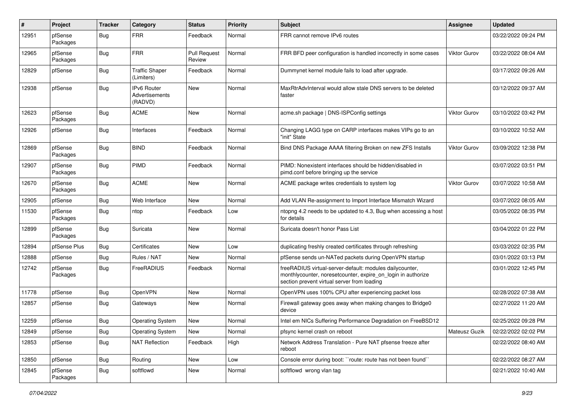| $\pmb{\#}$ | Project             | <b>Tracker</b> | Category                                 | <b>Status</b>                 | <b>Priority</b> | Subject                                                                                                                                                                 | <b>Assignee</b>     | <b>Updated</b>      |
|------------|---------------------|----------------|------------------------------------------|-------------------------------|-----------------|-------------------------------------------------------------------------------------------------------------------------------------------------------------------------|---------------------|---------------------|
| 12951      | pfSense<br>Packages | Bug            | <b>FRR</b>                               | Feedback                      | Normal          | FRR cannot remove IPv6 routes                                                                                                                                           |                     | 03/22/2022 09:24 PM |
| 12965      | pfSense<br>Packages | Bug            | <b>FRR</b>                               | <b>Pull Request</b><br>Review | Normal          | FRR BFD peer configuration is handled incorrectly in some cases                                                                                                         | Viktor Gurov        | 03/22/2022 08:04 AM |
| 12829      | pfSense             | <b>Bug</b>     | <b>Traffic Shaper</b><br>(Limiters)      | Feedback                      | Normal          | Dummynet kernel module fails to load after upgrade.                                                                                                                     |                     | 03/17/2022 09:26 AM |
| 12938      | pfSense             | Bug            | IPv6 Router<br>Advertisements<br>(RADVD) | New                           | Normal          | MaxRtrAdvInterval would allow stale DNS servers to be deleted<br>faster                                                                                                 |                     | 03/12/2022 09:37 AM |
| 12623      | pfSense<br>Packages | Bug            | <b>ACME</b>                              | <b>New</b>                    | Normal          | acme.sh package   DNS-ISPConfig settings                                                                                                                                | <b>Viktor Gurov</b> | 03/10/2022 03:42 PM |
| 12926      | pfSense             | Bug            | Interfaces                               | Feedback                      | Normal          | Changing LAGG type on CARP interfaces makes VIPs go to an<br>"init" State                                                                                               |                     | 03/10/2022 10:52 AM |
| 12869      | pfSense<br>Packages | Bug            | <b>BIND</b>                              | Feedback                      | Normal          | Bind DNS Package AAAA filtering Broken on new ZFS Installs                                                                                                              | <b>Viktor Gurov</b> | 03/09/2022 12:38 PM |
| 12907      | pfSense<br>Packages | Bug            | PIMD                                     | Feedback                      | Normal          | PIMD: Nonexistent interfaces should be hidden/disabled in<br>pimd.conf before bringing up the service                                                                   |                     | 03/07/2022 03:51 PM |
| 12670      | pfSense<br>Packages | Bug            | <b>ACME</b>                              | New                           | Normal          | ACME package writes credentials to system log                                                                                                                           | <b>Viktor Gurov</b> | 03/07/2022 10:58 AM |
| 12905      | pfSense             | <b>Bug</b>     | Web Interface                            | New                           | Normal          | Add VLAN Re-assignment to Import Interface Mismatch Wizard                                                                                                              |                     | 03/07/2022 08:05 AM |
| 11530      | pfSense<br>Packages | <b>Bug</b>     | ntop                                     | Feedback                      | Low             | ntopng 4.2 needs to be updated to 4.3, Bug when accessing a host<br>for details                                                                                         |                     | 03/05/2022 08:35 PM |
| 12899      | pfSense<br>Packages | Bug            | Suricata                                 | New                           | Normal          | Suricata doesn't honor Pass List                                                                                                                                        |                     | 03/04/2022 01:22 PM |
| 12894      | pfSense Plus        | Bug            | Certificates                             | New                           | Low             | duplicating freshly created certificates through refreshing                                                                                                             |                     | 03/03/2022 02:35 PM |
| 12888      | pfSense             | Bug            | Rules / NAT                              | New                           | Normal          | pfSense sends un-NATed packets during OpenVPN startup                                                                                                                   |                     | 03/01/2022 03:13 PM |
| 12742      | pfSense<br>Packages | <b>Bug</b>     | FreeRADIUS                               | Feedback                      | Normal          | freeRADIUS virtual-server-default: modules dailycounter,<br>monthlycounter, noresetcounter, expire_on_login in authorize<br>section prevent virtual server from loading |                     | 03/01/2022 12:45 PM |
| 11778      | pfSense             | <b>Bug</b>     | OpenVPN                                  | <b>New</b>                    | Normal          | OpenVPN uses 100% CPU after experiencing packet loss                                                                                                                    |                     | 02/28/2022 07:38 AM |
| 12857      | pfSense             | Bug            | Gateways                                 | New                           | Normal          | Firewall gateway goes away when making changes to Bridge0<br>device                                                                                                     |                     | 02/27/2022 11:20 AM |
| 12259      | pfSense             | Bug            | <b>Operating System</b>                  | New                           | Normal          | Intel em NICs Suffering Performance Degradation on FreeBSD12                                                                                                            |                     | 02/25/2022 09:28 PM |
| 12849      | pfSense             | Bug            | <b>Operating System</b>                  | New                           | Normal          | pfsync kernel crash on reboot                                                                                                                                           | Mateusz Guzik       | 02/22/2022 02:02 PM |
| 12853      | pfSense             | <b>Bug</b>     | <b>NAT Reflection</b>                    | Feedback                      | High            | Network Address Translation - Pure NAT pfsense freeze after<br>reboot                                                                                                   |                     | 02/22/2022 08:40 AM |
| 12850      | pfSense             | <b>Bug</b>     | Routing                                  | New                           | Low             | Console error during boot: "route: route has not been found"                                                                                                            |                     | 02/22/2022 08:27 AM |
| 12845      | pfSense<br>Packages | <b>Bug</b>     | softflowd                                | New                           | Normal          | softflowd wrong vlan tag                                                                                                                                                |                     | 02/21/2022 10:40 AM |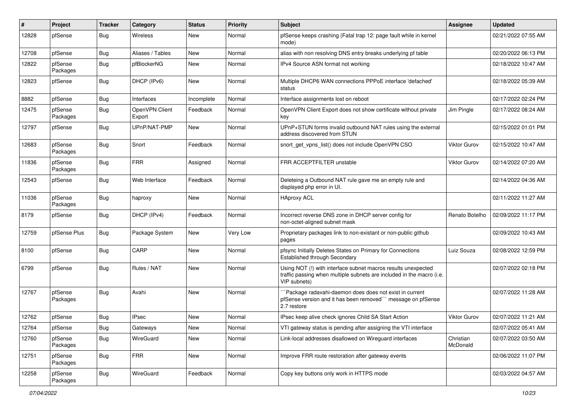| #     | Project             | <b>Tracker</b> | Category                 | <b>Status</b> | <b>Priority</b> | <b>Subject</b>                                                                                                                                         | <b>Assignee</b>       | <b>Updated</b>      |
|-------|---------------------|----------------|--------------------------|---------------|-----------------|--------------------------------------------------------------------------------------------------------------------------------------------------------|-----------------------|---------------------|
| 12828 | pfSense             | Bug            | Wireless                 | New           | Normal          | pfSense keeps crashing (Fatal trap 12: page fault while in kernel<br>mode)                                                                             |                       | 02/21/2022 07:55 AM |
| 12708 | pfSense             | Bug            | Aliases / Tables         | New           | Normal          | alias with non resolving DNS entry breaks underlying pf table                                                                                          |                       | 02/20/2022 06:13 PM |
| 12822 | pfSense<br>Packages | Bug            | pfBlockerNG              | New           | Normal          | IPv4 Source ASN format not working                                                                                                                     |                       | 02/18/2022 10:47 AM |
| 12823 | pfSense             | Bug            | DHCP (IPv6)              | New           | Normal          | Multiple DHCP6 WAN connections PPPoE interface 'defached'<br>status                                                                                    |                       | 02/18/2022 05:39 AM |
| 8882  | pfSense             | Bug            | Interfaces               | Incomplete    | Normal          | Interface assignments lost on reboot                                                                                                                   |                       | 02/17/2022 02:24 PM |
| 12475 | pfSense<br>Packages | <b>Bug</b>     | OpenVPN Client<br>Export | Feedback      | Normal          | OpenVPN Client Export does not show certificate without private<br>key                                                                                 | Jim Pingle            | 02/17/2022 08:24 AM |
| 12797 | pfSense             | Bug            | UPnP/NAT-PMP             | New           | Normal          | UPnP+STUN forms invalid outbound NAT rules using the external<br>address discovered from STUN                                                          |                       | 02/15/2022 01:01 PM |
| 12683 | pfSense<br>Packages | <b>Bug</b>     | Snort                    | Feedback      | Normal          | snort get vpns list() does not include OpenVPN CSO                                                                                                     | <b>Viktor Gurov</b>   | 02/15/2022 10:47 AM |
| 11836 | pfSense<br>Packages | Bug            | <b>FRR</b>               | Assigned      | Normal          | FRR ACCEPTFILTER unstable                                                                                                                              | <b>Viktor Gurov</b>   | 02/14/2022 07:20 AM |
| 12543 | pfSense             | Bug            | Web Interface            | Feedback      | Normal          | Deleteing a Outbound NAT rule gave me an empty rule and<br>displayed php error in UI.                                                                  |                       | 02/14/2022 04:36 AM |
| 11036 | pfSense<br>Packages | <b>Bug</b>     | haproxy                  | New           | Normal          | <b>HAproxy ACL</b>                                                                                                                                     |                       | 02/11/2022 11:27 AM |
| 8179  | pfSense             | Bug            | DHCP (IPv4)              | Feedback      | Normal          | Incorrect reverse DNS zone in DHCP server config for<br>non-octet-aligned subnet mask                                                                  | Renato Botelho        | 02/09/2022 11:17 PM |
| 12759 | pfSense Plus        | Bug            | Package System           | New           | Very Low        | Proprietary packages link to non-existant or non-public github<br>pages                                                                                |                       | 02/09/2022 10:43 AM |
| 8100  | pfSense             | Bug            | CARP                     | New           | Normal          | pfsync Initially Deletes States on Primary for Connections<br>Established through Secondary                                                            | Luiz Souza            | 02/08/2022 12:59 PM |
| 6799  | pfSense             | <b>Bug</b>     | Rules / NAT              | New           | Normal          | Using NOT (!) with interface subnet macros results unexpected<br>traffic passing when multiple subnets are included in the macro (i.e.<br>VIP subnets) |                       | 02/07/2022 02:18 PM |
| 12767 | pfSense<br>Packages | <b>Bug</b>     | Avahi                    | New           | Normal          | Package radavahi-daemon does does not exist in current<br>pfSense version and it has been removed"" message on pfSense<br>2.7 restore                  |                       | 02/07/2022 11:28 AM |
| 12762 | pfSense             | <b>Bug</b>     | <b>IPsec</b>             | New           | Normal          | IPsec keep alive check ignores Child SA Start Action                                                                                                   | Viktor Gurov          | 02/07/2022 11:21 AM |
| 12764 | pfSense             | Bug            | Gateways                 | New           | Normal          | VTI gateway status is pending after assigning the VTI interface                                                                                        |                       | 02/07/2022 05:41 AM |
| 12760 | pfSense<br>Packages | <b>Bug</b>     | WireGuard                | New           | Normal          | Link-local addresses disallowed on Wireguard interfaces                                                                                                | Christian<br>McDonald | 02/07/2022 03:50 AM |
| 12751 | pfSense<br>Packages | <b>Bug</b>     | <b>FRR</b>               | New           | Normal          | Improve FRR route restoration after gateway events                                                                                                     |                       | 02/06/2022 11:07 PM |
| 12258 | pfSense<br>Packages | <b>Bug</b>     | WireGuard                | Feedback      | Normal          | Copy key buttons only work in HTTPS mode                                                                                                               |                       | 02/03/2022 04:57 AM |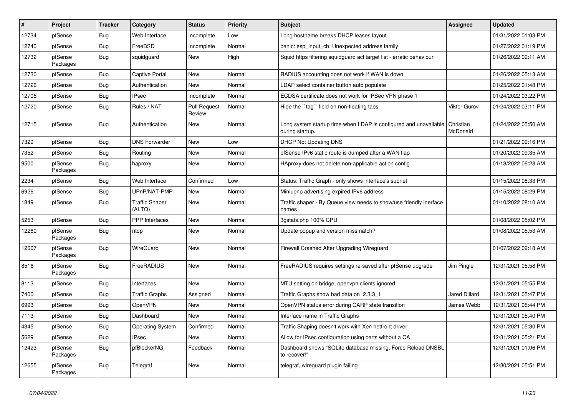| $\sharp$ | Project             | Tracker    | Category                        | <b>Status</b>                 | <b>Priority</b> | <b>Subject</b>                                                                      | <b>Assignee</b>       | <b>Updated</b>      |
|----------|---------------------|------------|---------------------------------|-------------------------------|-----------------|-------------------------------------------------------------------------------------|-----------------------|---------------------|
| 12734    | pfSense             | Bug        | Web Interface                   | Incomplete                    | Low             | Long hostname breaks DHCP leases layout                                             |                       | 01/31/2022 01:03 PM |
| 12740    | pfSense             | <b>Bug</b> | FreeBSD                         | Incomplete                    | Normal          | panic: esp input cb: Unexpected address family                                      |                       | 01/27/2022 01:19 PM |
| 12732    | pfSense<br>Packages | <b>Bug</b> | squidguard                      | <b>New</b>                    | High            | Squid https filtering squidguard acl target list - erratic behaviour                |                       | 01/26/2022 09:11 AM |
| 12730    | pfSense             | Bug        | <b>Captive Portal</b>           | New                           | Normal          | RADIUS accounting does not work if WAN is down                                      |                       | 01/26/2022 05:13 AM |
| 12726    | pfSense             | Bug        | Authentication                  | New                           | Normal          | LDAP select container button auto populate                                          |                       | 01/25/2022 01:48 PM |
| 12705    | pfSense             | <b>Bug</b> | <b>IPsec</b>                    | Incomplete                    | Normal          | ECDSA certificate does not work for IPSec VPN phase 1                               |                       | 01/24/2022 03:22 PM |
| 12720    | pfSense             | Bug        | Rules / NAT                     | <b>Pull Request</b><br>Review | Normal          | Hide the "tag" field on non-floating tabs                                           | <b>Viktor Gurov</b>   | 01/24/2022 03:11 PM |
| 12715    | pfSense             | <b>Bug</b> | Authentication                  | New                           | Normal          | Long system startup time when LDAP is configured and unavailable<br>during startup. | Christian<br>McDonald | 01/24/2022 05:50 AM |
| 7329     | pfSense             | <b>Bug</b> | <b>DNS Forwarder</b>            | <b>New</b>                    | Low             | <b>DHCP Not Updating DNS</b>                                                        |                       | 01/21/2022 09:16 PM |
| 7352     | pfSense             | Bug        | Routing                         | <b>New</b>                    | Normal          | pfSense IPv6 static route is dumped after a WAN flap                                |                       | 01/20/2022 09:35 AM |
| 9500     | pfSense<br>Packages | Bug        | haproxy                         | New                           | Normal          | HAproxy does not delete non-applicable action config                                |                       | 01/18/2022 06:28 AM |
| 2234     | pfSense             | Bug        | Web Interface                   | Confirmed                     | Low             | Status: Traffic Graph - only shows interface's subnet                               |                       | 01/15/2022 08:33 PM |
| 6926     | pfSense             | <b>Bug</b> | UPnP/NAT-PMP                    | New                           | Normal          | Miniupnp advertising expired IPv6 address                                           |                       | 01/15/2022 08:29 PM |
| 1849     | pfSense             | <b>Bug</b> | <b>Traffic Shaper</b><br>(ALTQ) | New                           | Normal          | Traffic shaper - By Queue view needs to show/use friendly inerface<br>names         |                       | 01/10/2022 08:10 AM |
| 5253     | pfSense             | <b>Bug</b> | <b>PPP</b> Interfaces           | New                           | Normal          | 3gstats.php 100% CPU                                                                |                       | 01/08/2022 05:02 PM |
| 12260    | pfSense<br>Packages | <b>Bug</b> | ntop                            | <b>New</b>                    | Normal          | Update popup and version missmatch?                                                 |                       | 01/08/2022 05:53 AM |
| 12667    | pfSense<br>Packages | Bug        | WireGuard                       | <b>New</b>                    | Normal          | Firewall Crashed After Upgrading Wireguard                                          |                       | 01/07/2022 09:18 AM |
| 8516     | pfSense<br>Packages | <b>Bug</b> | FreeRADIUS                      | New                           | Normal          | FreeRADIUS requires settings re-saved after pfSense upgrade                         | Jim Pingle            | 12/31/2021 05:58 PM |
| 8113     | pfSense             | <b>Bug</b> | Interfaces                      | <b>New</b>                    | Normal          | MTU setting on bridge, openvpn clients ignored                                      |                       | 12/31/2021 05:55 PM |
| 7400     | pfSense             | Bug        | <b>Traffic Graphs</b>           | Assigned                      | Normal          | Traffic Graphs show bad data on 2.3.3 1                                             | <b>Jared Dillard</b>  | 12/31/2021 05:47 PM |
| 6993     | pfSense             | Bug        | OpenVPN                         | <b>New</b>                    | Normal          | OpenVPN status error during CARP state transition                                   | James Webb            | 12/31/2021 05:44 PM |
| 7113     | pfSense             | Bug        | Dashboard                       | <b>New</b>                    | Normal          | Interface name in Traffic Graphs                                                    |                       | 12/31/2021 05:40 PM |
| 4345     | pfSense             | <b>Bug</b> | <b>Operating System</b>         | Confirmed                     | Normal          | Traffic Shaping doesn't work with Xen netfront driver                               |                       | 12/31/2021 05:30 PM |
| 5629     | pfSense             | <b>Bug</b> | <b>IPsec</b>                    | <b>New</b>                    | Normal          | Allow for IPsec configuration using certs without a CA                              |                       | 12/31/2021 05:21 PM |
| 12423    | pfSense<br>Packages | <b>Bug</b> | pfBlockerNG                     | Feedback                      | Normal          | Dashboard shows "SQLite database missing, Force Reload DNSBL<br>to recover!"        |                       | 12/31/2021 01:06 PM |
| 12655    | pfSense<br>Packages | <b>Bug</b> | Telegraf                        | New                           | Normal          | telegraf, wireguard plugin failing                                                  |                       | 12/30/2021 05:51 PM |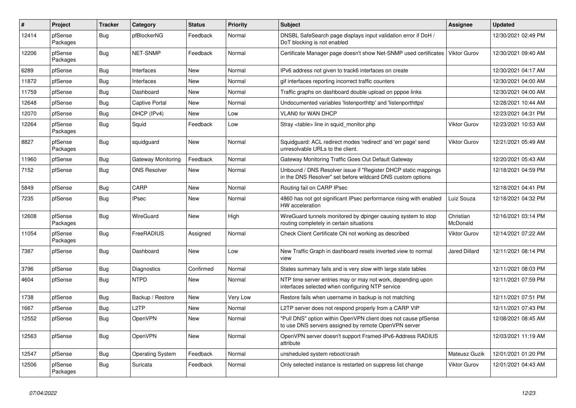| $\sharp$ | <b>Project</b>      | <b>Tracker</b> | Category                | <b>Status</b> | Priority | <b>Subject</b>                                                                                                                | <b>Assignee</b>       | <b>Updated</b>      |
|----------|---------------------|----------------|-------------------------|---------------|----------|-------------------------------------------------------------------------------------------------------------------------------|-----------------------|---------------------|
| 12414    | pfSense<br>Packages | Bug            | pfBlockerNG             | Feedback      | Normal   | DNSBL SafeSearch page displays input validation error if DoH /<br>DoT blocking is not enabled                                 |                       | 12/30/2021 02:49 PM |
| 12206    | pfSense<br>Packages | Bug            | <b>NET-SNMP</b>         | Feedback      | Normal   | Certificate Manager page doesn't show Net-SNMP used certificates                                                              | <b>Viktor Gurov</b>   | 12/30/2021 09:40 AM |
| 6289     | pfSense             | Bug            | Interfaces              | New           | Normal   | IPv6 address not given to track6 interfaces on create                                                                         |                       | 12/30/2021 04:17 AM |
| 11872    | pfSense             | Bug            | Interfaces              | New           | Normal   | gif interfaces reporting incorrect traffic counters                                                                           |                       | 12/30/2021 04:00 AM |
| 11759    | pfSense             | <b>Bug</b>     | Dashboard               | <b>New</b>    | Normal   | Traffic graphs on dashboard double upload on pppoe links                                                                      |                       | 12/30/2021 04:00 AM |
| 12648    | pfSense             | Bug            | <b>Captive Portal</b>   | <b>New</b>    | Normal   | Undocumented variables 'listenporthttp' and 'listenporthttps'                                                                 |                       | 12/28/2021 10:44 AM |
| 12070    | pfSense             | Bug            | DHCP (IPv4)             | <b>New</b>    | Low      | <b>VLANO for WAN DHCP</b>                                                                                                     |                       | 12/23/2021 04:31 PM |
| 12264    | pfSense<br>Packages | Bug            | Squid                   | Feedback      | Low      | Stray <table> line in squid monitor.php</table>                                                                               | <b>Viktor Gurov</b>   | 12/23/2021 10:53 AM |
| 8827     | pfSense<br>Packages | Bug            | squidguard              | New           | Normal   | Squidguard: ACL redirect modes 'redirect' and 'err page' send<br>unresolvable URLs to the client.                             | Viktor Gurov          | 12/21/2021 05:49 AM |
| 11960    | pfSense             | <b>Bug</b>     | Gateway Monitoring      | Feedback      | Normal   | Gateway Monitoring Traffic Goes Out Default Gateway                                                                           |                       | 12/20/2021 05:43 AM |
| 7152     | pfSense             | <b>Bug</b>     | <b>DNS Resolver</b>     | New           | Normal   | Unbound / DNS Resolver issue if "Register DHCP static mappings<br>in the DNS Resolver" set before wildcard DNS custom options |                       | 12/18/2021 04:59 PM |
| 5849     | pfSense             | <b>Bug</b>     | CARP                    | <b>New</b>    | Normal   | Routing fail on CARP IPsec                                                                                                    |                       | 12/18/2021 04:41 PM |
| 7235     | pfSense             | Bug            | <b>IPsec</b>            | <b>New</b>    | Normal   | 4860 has not got significant IPsec performance rising with enabled<br>HW acceleration                                         | Luiz Souza            | 12/18/2021 04:32 PM |
| 12608    | pfSense<br>Packages | Bug            | WireGuard               | New           | High     | WireGuard tunnels monitored by dpinger causing system to stop<br>routing completely in certain situations                     | Christian<br>McDonald | 12/16/2021 03:14 PM |
| 11054    | pfSense<br>Packages | Bug            | FreeRADIUS              | Assigned      | Normal   | Check Client Certificate CN not working as described                                                                          | Viktor Gurov          | 12/14/2021 07:22 AM |
| 7387     | pfSense             | Bug            | Dashboard               | New           | Low      | New Traffic Graph in dashboard resets inverted view to normal<br>view                                                         | Jared Dillard         | 12/11/2021 08:14 PM |
| 3796     | pfSense             | <b>Bug</b>     | Diagnostics             | Confirmed     | Normal   | States summary fails and is very slow with large state tables                                                                 |                       | 12/11/2021 08:03 PM |
| 4604     | pfSense             | Bug            | <b>NTPD</b>             | <b>New</b>    | Normal   | NTP time server entries may or may not work, depending upon<br>interfaces selected when configuring NTP service               |                       | 12/11/2021 07:59 PM |
| 1738     | pfSense             | Bug            | Backup / Restore        | New           | Very Low | Restore fails when username in backup is not matching                                                                         |                       | 12/11/2021 07:51 PM |
| 1667     | pfSense             | Bug            | L <sub>2</sub> TP       | New           | Normal   | L2TP server does not respond properly from a CARP VIP                                                                         |                       | 12/11/2021 07:43 PM |
| 12552    | pfSense             | Bug            | OpenVPN                 | New           | Normal   | "Pull DNS" option within OpenVPN client does not cause pfSense<br>to use DNS servers assigned by remote OpenVPN server        |                       | 12/08/2021 08:45 AM |
| 12563    | pfSense             | Bug            | OpenVPN                 | <b>New</b>    | Normal   | OpenVPN server doesn't support Framed-IPv6-Address RADIUS<br>attribute                                                        |                       | 12/03/2021 11:19 AM |
| 12547    | pfSense             | Bug            | <b>Operating System</b> | Feedback      | Normal   | unsheduled system reboot/crash                                                                                                | Mateusz Guzik         | 12/01/2021 01:20 PM |
| 12506    | pfSense<br>Packages | Bug            | Suricata                | Feedback      | Normal   | Only selected instance is restarted on suppress list change                                                                   | Viktor Gurov          | 12/01/2021 04:43 AM |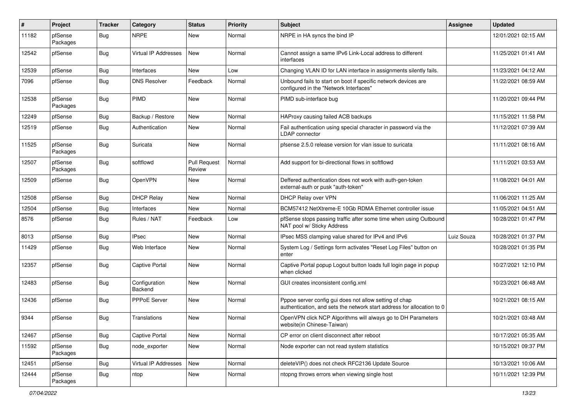| #     | Project             | <b>Tracker</b> | Category                    | <b>Status</b>                 | <b>Priority</b> | Subject                                                                                                                          | <b>Assignee</b> | <b>Updated</b>      |
|-------|---------------------|----------------|-----------------------------|-------------------------------|-----------------|----------------------------------------------------------------------------------------------------------------------------------|-----------------|---------------------|
| 11182 | pfSense<br>Packages | Bug            | <b>NRPE</b>                 | New                           | Normal          | NRPE in HA syncs the bind IP                                                                                                     |                 | 12/01/2021 02:15 AM |
| 12542 | pfSense             | Bug            | <b>Virtual IP Addresses</b> | New                           | Normal          | Cannot assign a same IPv6 Link-Local address to different<br>interfaces                                                          |                 | 11/25/2021 01:41 AM |
| 12539 | pfSense             | Bug            | Interfaces                  | <b>New</b>                    | Low             | Changing VLAN ID for LAN interface in assignments silently fails.                                                                |                 | 11/23/2021 04:12 AM |
| 7096  | pfSense             | Bug            | <b>DNS Resolver</b>         | Feedback                      | Normal          | Unbound fails to start on boot if specific network devices are<br>configured in the "Network Interfaces"                         |                 | 11/22/2021 08:59 AM |
| 12538 | pfSense<br>Packages | <b>Bug</b>     | PIMD                        | <b>New</b>                    | Normal          | PIMD sub-interface bug                                                                                                           |                 | 11/20/2021 09:44 PM |
| 12249 | pfSense             | Bug            | Backup / Restore            | New                           | Normal          | HAProxy causing failed ACB backups                                                                                               |                 | 11/15/2021 11:58 PM |
| 12519 | pfSense             | Bug            | Authentication              | New                           | Normal          | Fail authentication using special character in password via the<br>LDAP connector                                                |                 | 11/12/2021 07:39 AM |
| 11525 | pfSense<br>Packages | Bug            | Suricata                    | New                           | Normal          | pfsense 2.5.0 release version for vlan issue to suricata                                                                         |                 | 11/11/2021 08:16 AM |
| 12507 | pfSense<br>Packages | <b>Bug</b>     | softflowd                   | <b>Pull Request</b><br>Review | Normal          | Add support for bi-directional flows in softflowd                                                                                |                 | 11/11/2021 03:53 AM |
| 12509 | pfSense             | Bug            | OpenVPN                     | New                           | Normal          | Deffered authentication does not work with auth-gen-token<br>external-auth or pusk "auth-token"                                  |                 | 11/08/2021 04:01 AM |
| 12508 | pfSense             | <b>Bug</b>     | <b>DHCP Relay</b>           | New                           | Normal          | DHCP Relay over VPN                                                                                                              |                 | 11/06/2021 11:25 AM |
| 12504 | pfSense             | Bug            | Interfaces                  | New                           | Normal          | BCM57412 NetXtreme-E 10Gb RDMA Ethernet controller issue                                                                         |                 | 11/05/2021 04:51 AM |
| 8576  | pfSense             | <b>Bug</b>     | Rules / NAT                 | Feedback                      | Low             | pfSense stops passing traffic after some time when using Outbound<br>NAT pool w/ Sticky Address                                  |                 | 10/28/2021 01:47 PM |
| 8013  | pfSense             | Bug            | <b>IPsec</b>                | New                           | Normal          | IPsec MSS clamping value shared for IPv4 and IPv6                                                                                | Luiz Souza      | 10/28/2021 01:37 PM |
| 11429 | pfSense             | <b>Bug</b>     | Web Interface               | New                           | Normal          | System Log / Settings form activates "Reset Log Files" button on<br>enter                                                        |                 | 10/28/2021 01:35 PM |
| 12357 | pfSense             | Bug            | <b>Captive Portal</b>       | New                           | Normal          | Captive Portal popup Logout button loads full login page in popup<br>when clicked                                                |                 | 10/27/2021 12:10 PM |
| 12483 | pfSense             | Bug            | Configuration<br>Backend    | New                           | Normal          | GUI creates inconsistent config.xml                                                                                              |                 | 10/23/2021 06:48 AM |
| 12436 | pfSense             | <b>Bug</b>     | PPPoE Server                | New                           | Normal          | Pppoe server config gui does not allow setting of chap<br>authentication, and sets the network start address for allocation to 0 |                 | 10/21/2021 08:15 AM |
| 9344  | pfSense             | <b>Bug</b>     | Translations                | <b>New</b>                    | Normal          | OpenVPN click NCP Algorithms will always go to DH Parameters<br>website(in Chinese-Taiwan)                                       |                 | 10/21/2021 03:48 AM |
| 12467 | pfSense             | <b>Bug</b>     | Captive Portal              | New                           | Normal          | CP error on client disconnect after reboot                                                                                       |                 | 10/17/2021 05:35 AM |
| 11592 | pfSense<br>Packages | <b>Bug</b>     | node_exporter               | New                           | Normal          | Node exporter can not read system statistics                                                                                     |                 | 10/15/2021 09:37 PM |
| 12451 | pfSense             | <b>Bug</b>     | Virtual IP Addresses        | New                           | Normal          | deleteVIP() does not check RFC2136 Update Source                                                                                 |                 | 10/13/2021 10:06 AM |
| 12444 | pfSense<br>Packages | <b>Bug</b>     | ntop                        | New                           | Normal          | ntopng throws errors when viewing single host                                                                                    |                 | 10/11/2021 12:39 PM |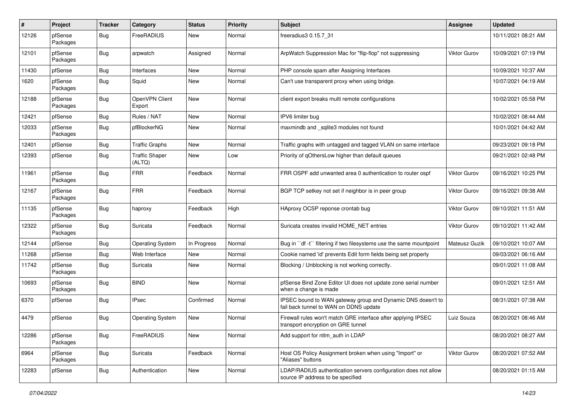| $\vert$ # | Project             | <b>Tracker</b> | Category                        | <b>Status</b> | <b>Priority</b> | <b>Subject</b>                                                                                        | <b>Assignee</b>     | <b>Updated</b>      |
|-----------|---------------------|----------------|---------------------------------|---------------|-----------------|-------------------------------------------------------------------------------------------------------|---------------------|---------------------|
| 12126     | pfSense<br>Packages | Bug            | FreeRADIUS                      | New           | Normal          | freeradius3 0.15.7_31                                                                                 |                     | 10/11/2021 08:21 AM |
| 12101     | pfSense<br>Packages | Bug            | arpwatch                        | Assigned      | Normal          | ArpWatch Suppression Mac for "flip-flop" not suppressing                                              | <b>Viktor Gurov</b> | 10/09/2021 07:19 PM |
| 11430     | pfSense             | <b>Bug</b>     | Interfaces                      | New           | Normal          | PHP console spam after Assigning Interfaces                                                           |                     | 10/09/2021 10:37 AM |
| 1620      | pfSense<br>Packages | Bug            | Squid                           | New           | Normal          | Can't use transparent proxy when using bridge.                                                        |                     | 10/07/2021 04:19 AM |
| 12188     | pfSense<br>Packages | Bug            | OpenVPN Client<br>Export        | <b>New</b>    | Normal          | client export breaks multi remote configurations                                                      |                     | 10/02/2021 05:58 PM |
| 12421     | pfSense             | Bug            | Rules / NAT                     | New           | Normal          | IPV6 limiter bug                                                                                      |                     | 10/02/2021 08:44 AM |
| 12033     | pfSense<br>Packages | Bug            | pfBlockerNG                     | New           | Normal          | maxmindb and _sqlite3 modules not found                                                               |                     | 10/01/2021 04:42 AM |
| 12401     | pfSense             | <b>Bug</b>     | <b>Traffic Graphs</b>           | <b>New</b>    | Normal          | Traffic graphs with untagged and tagged VLAN on same interface                                        |                     | 09/23/2021 09:18 PM |
| 12393     | pfSense             | Bug            | <b>Traffic Shaper</b><br>(ALTQ) | New           | Low             | Priority of gOthersLow higher than default queues                                                     |                     | 09/21/2021 02:48 PM |
| 11961     | pfSense<br>Packages | Bug            | <b>FRR</b>                      | Feedback      | Normal          | FRR OSPF add unwanted area 0 authentication to router ospf                                            | <b>Viktor Gurov</b> | 09/16/2021 10:25 PM |
| 12167     | pfSense<br>Packages | Bug            | <b>FRR</b>                      | Feedback      | Normal          | BGP TCP setkey not set if neighbor is in peer group                                                   | Viktor Gurov        | 09/16/2021 09:38 AM |
| 11135     | pfSense<br>Packages | Bug            | haproxy                         | Feedback      | High            | HAproxy OCSP reponse crontab bug                                                                      | <b>Viktor Gurov</b> | 09/10/2021 11:51 AM |
| 12322     | pfSense<br>Packages | Bug            | Suricata                        | Feedback      | Normal          | Suricata creates invalid HOME_NET entries                                                             | Viktor Gurov        | 09/10/2021 11:42 AM |
| 12144     | pfSense             | Bug            | <b>Operating System</b>         | In Progress   | Normal          | Bug in "df -t" filtering if two filesystems use the same mountpoint                                   | Mateusz Guzik       | 09/10/2021 10:07 AM |
| 11268     | pfSense             | <b>Bug</b>     | Web Interface                   | New           | Normal          | Cookie named 'id' prevents Edit form fields being set properly                                        |                     | 09/03/2021 06:16 AM |
| 11742     | pfSense<br>Packages | Bug            | Suricata                        | New           | Normal          | Blocking / Unblocking is not working correctly.                                                       |                     | 09/01/2021 11:08 AM |
| 10693     | pfSense<br>Packages | Bug            | <b>BIND</b>                     | New           | Normal          | pfSense Bind Zone Editor UI does not update zone serial number<br>when a change is made               |                     | 09/01/2021 12:51 AM |
| 6370      | pfSense             | Bug            | <b>IPsec</b>                    | Confirmed     | Normal          | IPSEC bound to WAN gateway group and Dynamic DNS doesn't to<br>fail back tunnel to WAN on DDNS update |                     | 08/31/2021 07:38 AM |
| 4479      | pfSense             | Bug            | <b>Operating System</b>         | <b>New</b>    | Normal          | Firewall rules won't match GRE interface after applying IPSEC<br>transport encryption on GRE tunnel   | Luiz Souza          | 08/20/2021 08:46 AM |
| 12286     | pfSense<br>Packages | Bug            | FreeRADIUS                      | New           | Normal          | Add support for ntlm auth in LDAP                                                                     |                     | 08/20/2021 08:27 AM |
| 6964      | pfSense<br>Packages | Bug            | Suricata                        | Feedback      | Normal          | Host OS Policy Assignment broken when using "Import" or<br>"Aliases" buttons                          | Viktor Gurov        | 08/20/2021 07:52 AM |
| 12283     | pfSense             | <b>Bug</b>     | Authentication                  | New           | Normal          | LDAP/RADIUS authentication servers configuration does not allow<br>source IP address to be specified  |                     | 08/20/2021 01:15 AM |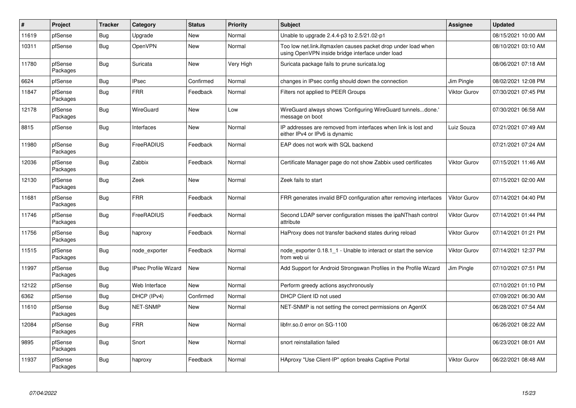| $\vert$ # | Project             | Tracker    | Category                    | <b>Status</b> | Priority  | <b>Subject</b>                                                                                                    | <b>Assignee</b>     | <b>Updated</b>      |
|-----------|---------------------|------------|-----------------------------|---------------|-----------|-------------------------------------------------------------------------------------------------------------------|---------------------|---------------------|
| 11619     | pfSense             | Bug        | Upgrade                     | New           | Normal    | Unable to upgrade 2.4.4-p3 to 2.5/21.02-p1                                                                        |                     | 08/15/2021 10:00 AM |
| 10311     | pfSense             | <b>Bug</b> | OpenVPN                     | <b>New</b>    | Normal    | Too low net.link.ifgmaxlen causes packet drop under load when<br>using OpenVPN inside bridge interface under load |                     | 08/10/2021 03:10 AM |
| 11780     | pfSense<br>Packages | Bug        | Suricata                    | <b>New</b>    | Very High | Suricata package fails to prune suricata.log                                                                      |                     | 08/06/2021 07:18 AM |
| 6624      | pfSense             | Bug        | <b>IPsec</b>                | Confirmed     | Normal    | changes in IPsec config should down the connection                                                                | Jim Pingle          | 08/02/2021 12:08 PM |
| 11847     | pfSense<br>Packages | <b>Bug</b> | <b>FRR</b>                  | Feedback      | Normal    | Filters not applied to PEER Groups                                                                                | <b>Viktor Gurov</b> | 07/30/2021 07:45 PM |
| 12178     | pfSense<br>Packages | <b>Bug</b> | WireGuard                   | <b>New</b>    | Low       | WireGuard always shows 'Configuring WireGuard tunnelsdone.'<br>message on boot                                    |                     | 07/30/2021 06:58 AM |
| 8815      | pfSense             | Bug        | Interfaces                  | New           | Normal    | IP addresses are removed from interfaces when link is lost and<br>either IPv4 or IPv6 is dynamic                  | Luiz Souza          | 07/21/2021 07:49 AM |
| 11980     | pfSense<br>Packages | Bug        | FreeRADIUS                  | Feedback      | Normal    | EAP does not work with SQL backend                                                                                |                     | 07/21/2021 07:24 AM |
| 12036     | pfSense<br>Packages | <b>Bug</b> | Zabbix                      | Feedback      | Normal    | Certificate Manager page do not show Zabbix used certificates                                                     | <b>Viktor Gurov</b> | 07/15/2021 11:46 AM |
| 12130     | pfSense<br>Packages | Bug        | Zeek                        | New           | Normal    | Zeek fails to start                                                                                               |                     | 07/15/2021 02:00 AM |
| 11681     | pfSense<br>Packages | <b>Bug</b> | <b>FRR</b>                  | Feedback      | Normal    | FRR generates invalid BFD configuration after removing interfaces                                                 | <b>Viktor Gurov</b> | 07/14/2021 04:40 PM |
| 11746     | pfSense<br>Packages | <b>Bug</b> | FreeRADIUS                  | Feedback      | Normal    | Second LDAP server configuration misses the ipaNThash control<br>attribute                                        | <b>Viktor Gurov</b> | 07/14/2021 01:44 PM |
| 11756     | pfSense<br>Packages | Bug        | haproxy                     | Feedback      | Normal    | HaProxy does not transfer backend states during reload                                                            | <b>Viktor Gurov</b> | 07/14/2021 01:21 PM |
| 11515     | pfSense<br>Packages | Bug        | node exporter               | Feedback      | Normal    | node exporter 0.18.1 1 - Unable to interact or start the service<br>from web ui                                   | <b>Viktor Gurov</b> | 07/14/2021 12:37 PM |
| 11997     | pfSense<br>Packages | <b>Bug</b> | <b>IPsec Profile Wizard</b> | New           | Normal    | Add Support for Android Strongswan Profiles in the Profile Wizard                                                 | Jim Pingle          | 07/10/2021 07:51 PM |
| 12122     | pfSense             | Bug        | Web Interface               | New           | Normal    | Perform greedy actions asychronously                                                                              |                     | 07/10/2021 01:10 PM |
| 6362      | pfSense             | Bug        | DHCP (IPv4)                 | Confirmed     | Normal    | DHCP Client ID not used                                                                                           |                     | 07/09/2021 06:30 AM |
| 11610     | pfSense<br>Packages | <b>Bug</b> | <b>NET-SNMP</b>             | <b>New</b>    | Normal    | NET-SNMP is not setting the correct permissions on AgentX                                                         |                     | 06/28/2021 07:54 AM |
| 12084     | pfSense<br>Packages | <b>Bug</b> | <b>FRR</b>                  | <b>New</b>    | Normal    | libfrr.so.0 error on SG-1100                                                                                      |                     | 06/26/2021 08:22 AM |
| 9895      | pfSense<br>Packages | Bug        | Snort                       | New           | Normal    | snort reinstallation failed                                                                                       |                     | 06/23/2021 08:01 AM |
| 11937     | pfSense<br>Packages | <b>Bug</b> | haproxy                     | Feedback      | Normal    | HAproxy "Use Client-IP" option breaks Captive Portal                                                              | <b>Viktor Gurov</b> | 06/22/2021 08:48 AM |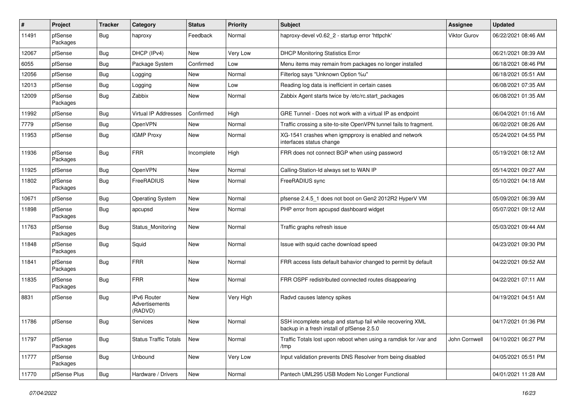| $\vert$ # | <b>Project</b>      | <b>Tracker</b> | Category                                        | <b>Status</b> | <b>Priority</b> | <b>Subject</b>                                                                                           | <b>Assignee</b>     | <b>Updated</b>      |
|-----------|---------------------|----------------|-------------------------------------------------|---------------|-----------------|----------------------------------------------------------------------------------------------------------|---------------------|---------------------|
| 11491     | pfSense<br>Packages | Bug            | haproxy                                         | Feedback      | Normal          | haproxy-devel v0.62 2 - startup error 'httpchk'                                                          | <b>Viktor Gurov</b> | 06/22/2021 08:46 AM |
| 12067     | pfSense             | Bug            | DHCP (IPv4)                                     | New           | Very Low        | <b>DHCP Monitoring Statistics Error</b>                                                                  |                     | 06/21/2021 08:39 AM |
| 6055      | pfSense             | <b>Bug</b>     | Package System                                  | Confirmed     | Low             | Menu items may remain from packages no longer installed                                                  |                     | 06/18/2021 08:46 PM |
| 12056     | pfSense             | <b>Bug</b>     | Logging                                         | New           | Normal          | Filterlog says "Unknown Option %u"                                                                       |                     | 06/18/2021 05:51 AM |
| 12013     | pfSense             | <b>Bug</b>     | Logging                                         | New           | Low             | Reading log data is inefficient in certain cases                                                         |                     | 06/08/2021 07:35 AM |
| 12009     | pfSense<br>Packages | Bug            | Zabbix                                          | New           | Normal          | Zabbix Agent starts twice by /etc/rc.start packages                                                      |                     | 06/08/2021 01:35 AM |
| 11992     | pfSense             | Bug            | <b>Virtual IP Addresses</b>                     | Confirmed     | High            | GRE Tunnel - Does not work with a virtual IP as endpoint                                                 |                     | 06/04/2021 01:16 AM |
| 7779      | pfSense             | Bug            | OpenVPN                                         | New           | Normal          | Traffic crossing a site-to-site OpenVPN tunnel fails to fragment.                                        |                     | 06/02/2021 08:26 AM |
| 11953     | pfSense             | Bug            | <b>IGMP Proxy</b>                               | New           | Normal          | XG-1541 crashes when igmpproxy is enabled and network<br>interfaces status change                        |                     | 05/24/2021 04:55 PM |
| 11936     | pfSense<br>Packages | <b>Bug</b>     | <b>FRR</b>                                      | Incomplete    | High            | FRR does not connect BGP when using password                                                             |                     | 05/19/2021 08:12 AM |
| 11925     | pfSense             | Bug            | OpenVPN                                         | <b>New</b>    | Normal          | Calling-Station-Id always set to WAN IP                                                                  |                     | 05/14/2021 09:27 AM |
| 11802     | pfSense<br>Packages | <b>Bug</b>     | FreeRADIUS                                      | New           | Normal          | FreeRADIUS sync                                                                                          |                     | 05/10/2021 04:18 AM |
| 10671     | pfSense             | <b>Bug</b>     | Operating System                                | <b>New</b>    | Normal          | pfsense 2.4.5_1 does not boot on Gen2 2012R2 HyperV VM                                                   |                     | 05/09/2021 06:39 AM |
| 11898     | pfSense<br>Packages | Bug            | apcupsd                                         | New           | Normal          | PHP error from apcupsd dashboard widget                                                                  |                     | 05/07/2021 09:12 AM |
| 11763     | pfSense<br>Packages | Bug            | Status Monitoring                               | <b>New</b>    | Normal          | Traffic graphs refresh issue                                                                             |                     | 05/03/2021 09:44 AM |
| 11848     | pfSense<br>Packages | Bug            | Squid                                           | New           | Normal          | Issue with squid cache download speed                                                                    |                     | 04/23/2021 09:30 PM |
| 11841     | pfSense<br>Packages | Bug            | <b>FRR</b>                                      | New           | Normal          | FRR access lists default bahavior changed to permit by default                                           |                     | 04/22/2021 09:52 AM |
| 11835     | pfSense<br>Packages | <b>Bug</b>     | <b>FRR</b>                                      | New           | Normal          | FRR OSPF redistributed connected routes disappearing                                                     |                     | 04/22/2021 07:11 AM |
| 8831      | pfSense             | Bug            | <b>IPv6 Router</b><br>Advertisements<br>(RADVD) | <b>New</b>    | Very High       | Radvd causes latency spikes                                                                              |                     | 04/19/2021 04:51 AM |
| 11786     | pfSense             | Bug            | Services                                        | New           | Normal          | SSH incomplete setup and startup fail while recovering XML<br>backup in a fresh install of pfSense 2.5.0 |                     | 04/17/2021 01:36 PM |
| 11797     | pfSense<br>Packages | <b>Bug</b>     | <b>Status Traffic Totals</b>                    | New           | Normal          | Traffic Totals lost upon reboot when using a ramdisk for /var and<br>/tmp                                | John Cornwell       | 04/10/2021 06:27 PM |
| 11777     | pfSense<br>Packages | <b>Bug</b>     | Unbound                                         | New           | Very Low        | Input validation prevents DNS Resolver from being disabled                                               |                     | 04/05/2021 05:51 PM |
| 11770     | pfSense Plus        | <b>Bug</b>     | Hardware / Drivers                              | New           | Normal          | Pantech UML295 USB Modem No Longer Functional                                                            |                     | 04/01/2021 11:28 AM |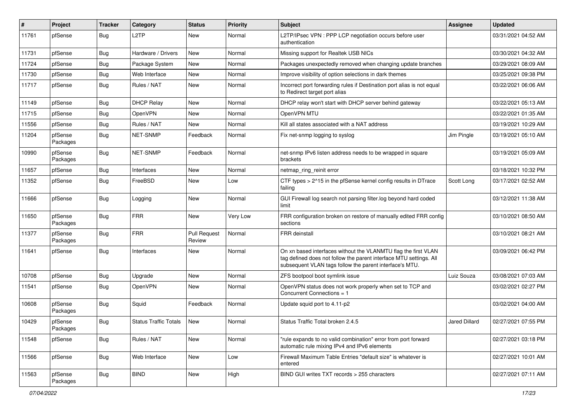| ∦     | Project             | <b>Tracker</b> | Category                     | <b>Status</b>                 | <b>Priority</b> | Subject                                                                                                                                                                                         | <b>Assignee</b>      | <b>Updated</b>      |
|-------|---------------------|----------------|------------------------------|-------------------------------|-----------------|-------------------------------------------------------------------------------------------------------------------------------------------------------------------------------------------------|----------------------|---------------------|
| 11761 | pfSense             | Bug            | L2TP                         | New                           | Normal          | L2TP/IPsec VPN : PPP LCP negotiation occurs before user<br>authentication                                                                                                                       |                      | 03/31/2021 04:52 AM |
| 11731 | pfSense             | Bug            | Hardware / Drivers           | New                           | Normal          | Missing support for Realtek USB NICs                                                                                                                                                            |                      | 03/30/2021 04:32 AM |
| 11724 | pfSense             | <b>Bug</b>     | Package System               | New                           | Normal          | Packages unexpectedly removed when changing update branches                                                                                                                                     |                      | 03/29/2021 08:09 AM |
| 11730 | pfSense             | Bug            | Web Interface                | New                           | Normal          | Improve visibility of option selections in dark themes                                                                                                                                          |                      | 03/25/2021 09:38 PM |
| 11717 | pfSense             | Bug            | Rules / NAT                  | New                           | Normal          | Incorrect port forwarding rules if Destination port alias is not equal<br>to Redirect target port alias                                                                                         |                      | 03/22/2021 06:06 AM |
| 11149 | pfSense             | Bug            | <b>DHCP Relay</b>            | New                           | Normal          | DHCP relay won't start with DHCP server behind gateway                                                                                                                                          |                      | 03/22/2021 05:13 AM |
| 11715 | pfSense             | Bug            | OpenVPN                      | New                           | Normal          | OpenVPN MTU                                                                                                                                                                                     |                      | 03/22/2021 01:35 AM |
| 11556 | pfSense             | Bug            | Rules / NAT                  | New                           | Normal          | Kill all states associated with a NAT address                                                                                                                                                   |                      | 03/19/2021 10:29 AM |
| 11204 | pfSense<br>Packages | Bug            | <b>NET-SNMP</b>              | Feedback                      | Normal          | Fix net-snmp logging to syslog                                                                                                                                                                  | Jim Pingle           | 03/19/2021 05:10 AM |
| 10990 | pfSense<br>Packages | Bug            | NET-SNMP                     | Feedback                      | Normal          | net-snmp IPv6 listen address needs to be wrapped in square<br>brackets                                                                                                                          |                      | 03/19/2021 05:09 AM |
| 11657 | pfSense             | <b>Bug</b>     | Interfaces                   | New                           | Normal          | netmap_ring_reinit error                                                                                                                                                                        |                      | 03/18/2021 10:32 PM |
| 11352 | pfSense             | Bug            | FreeBSD                      | New                           | Low             | CTF types > 2^15 in the pfSense kernel config results in DTrace<br>failing                                                                                                                      | Scott Long           | 03/17/2021 02:52 AM |
| 11666 | pfSense             | Bug            | Logging                      | New                           | Normal          | GUI Firewall log search not parsing filter.log beyond hard coded<br>limit                                                                                                                       |                      | 03/12/2021 11:38 AM |
| 11650 | pfSense<br>Packages | <b>Bug</b>     | <b>FRR</b>                   | New                           | Very Low        | FRR configuration broken on restore of manually edited FRR config<br>sections                                                                                                                   |                      | 03/10/2021 08:50 AM |
| 11377 | pfSense<br>Packages | <b>Bug</b>     | <b>FRR</b>                   | <b>Pull Request</b><br>Review | Normal          | <b>FRR</b> deinstall                                                                                                                                                                            |                      | 03/10/2021 08:21 AM |
| 11641 | pfSense             | <b>Bug</b>     | Interfaces                   | New                           | Normal          | On xn based interfaces without the VLANMTU flag the first VLAN<br>tag defined does not follow the parent interface MTU settings. All<br>subsequent VLAN tags follow the parent interface's MTU. |                      | 03/09/2021 06:42 PM |
| 10708 | pfSense             | Bug            | Upgrade                      | New                           | Normal          | ZFS bootpool boot symlink issue                                                                                                                                                                 | Luiz Souza           | 03/08/2021 07:03 AM |
| 11541 | pfSense             | Bug            | OpenVPN                      | New                           | Normal          | OpenVPN status does not work properly when set to TCP and<br>Concurrent Connections = 1                                                                                                         |                      | 03/02/2021 02:27 PM |
| 10608 | pfSense<br>Packages | Bug            | Squid                        | Feedback                      | Normal          | Update squid port to 4.11-p2                                                                                                                                                                    |                      | 03/02/2021 04:00 AM |
| 10429 | pfSense<br>Packages | Bug            | <b>Status Traffic Totals</b> | New                           | Normal          | Status Traffic Total broken 2.4.5                                                                                                                                                               | <b>Jared Dillard</b> | 02/27/2021 07:55 PM |
| 11548 | pfSense             | <b>Bug</b>     | Rules / NAT                  | New                           | Normal          | "rule expands to no valid combination" error from port forward<br>automatic rule mixing IPv4 and IPv6 elements                                                                                  |                      | 02/27/2021 03:18 PM |
| 11566 | pfSense             | <b>Bug</b>     | Web Interface                | New                           | Low             | Firewall Maximum Table Entries "default size" is whatever is<br>entered                                                                                                                         |                      | 02/27/2021 10:01 AM |
| 11563 | pfSense<br>Packages | <b>Bug</b>     | <b>BIND</b>                  | New                           | High            | BIND GUI writes TXT records > 255 characters                                                                                                                                                    |                      | 02/27/2021 07:11 AM |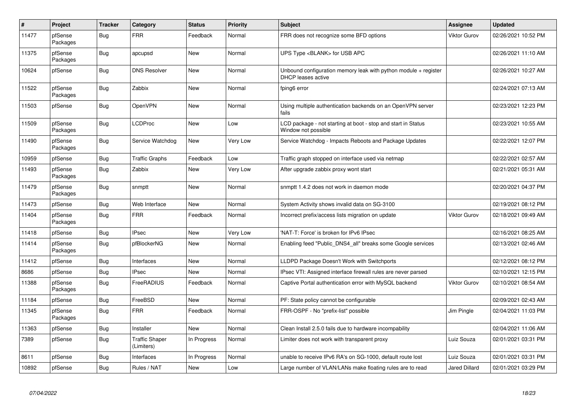| $\#$  | Project             | <b>Tracker</b> | Category                            | <b>Status</b> | <b>Priority</b> | <b>Subject</b>                                                                          | Assignee            | <b>Updated</b>      |
|-------|---------------------|----------------|-------------------------------------|---------------|-----------------|-----------------------------------------------------------------------------------------|---------------------|---------------------|
| 11477 | pfSense<br>Packages | <b>Bug</b>     | <b>FRR</b>                          | Feedback      | Normal          | FRR does not recognize some BFD options                                                 | <b>Viktor Gurov</b> | 02/26/2021 10:52 PM |
| 11375 | pfSense<br>Packages | Bug            | apcupsd                             | New           | Normal          | UPS Type <blank> for USB APC</blank>                                                    |                     | 02/26/2021 11:10 AM |
| 10624 | pfSense             | <b>Bug</b>     | <b>DNS Resolver</b>                 | New           | Normal          | Unbound configuration memory leak with python module $+$ register<br>DHCP leases active |                     | 02/26/2021 10:27 AM |
| 11522 | pfSense<br>Packages | Bug            | Zabbix                              | New           | Normal          | fping6 error                                                                            |                     | 02/24/2021 07:13 AM |
| 11503 | pfSense             | <b>Bug</b>     | OpenVPN                             | <b>New</b>    | Normal          | Using multiple authentication backends on an OpenVPN server<br>fails                    |                     | 02/23/2021 12:23 PM |
| 11509 | pfSense<br>Packages | Bug            | <b>LCDProc</b>                      | <b>New</b>    | Low             | LCD package - not starting at boot - stop and start in Status<br>Window not possible    |                     | 02/23/2021 10:55 AM |
| 11490 | pfSense<br>Packages | <b>Bug</b>     | Service Watchdog                    | <b>New</b>    | Very Low        | Service Watchdog - Impacts Reboots and Package Updates                                  |                     | 02/22/2021 12:07 PM |
| 10959 | pfSense             | <b>Bug</b>     | <b>Traffic Graphs</b>               | Feedback      | Low             | Traffic graph stopped on interface used via netmap                                      |                     | 02/22/2021 02:57 AM |
| 11493 | pfSense<br>Packages | <b>Bug</b>     | Zabbix                              | <b>New</b>    | Very Low        | After upgrade zabbix proxy wont start                                                   |                     | 02/21/2021 05:31 AM |
| 11479 | pfSense<br>Packages | <b>Bug</b>     | snmptt                              | New           | Normal          | snmptt 1.4.2 does not work in daemon mode                                               |                     | 02/20/2021 04:37 PM |
| 11473 | pfSense             | Bug            | Web Interface                       | New           | Normal          | System Activity shows invalid data on SG-3100                                           |                     | 02/19/2021 08:12 PM |
| 11404 | pfSense<br>Packages | <b>Bug</b>     | <b>FRR</b>                          | Feedback      | Normal          | Incorrect prefix/access lists migration on update                                       | Viktor Gurov        | 02/18/2021 09:49 AM |
| 11418 | pfSense             | <b>Bug</b>     | <b>IPsec</b>                        | New           | Very Low        | 'NAT-T: Force' is broken for IPv6 IPsec                                                 |                     | 02/16/2021 08:25 AM |
| 11414 | pfSense<br>Packages | <b>Bug</b>     | pfBlockerNG                         | New           | Normal          | Enabling feed "Public DNS4 all" breaks some Google services                             |                     | 02/13/2021 02:46 AM |
| 11412 | pfSense             | <b>Bug</b>     | Interfaces                          | New           | Normal          | LLDPD Package Doesn't Work with Switchports                                             |                     | 02/12/2021 08:12 PM |
| 8686  | pfSense             | <b>Bug</b>     | <b>IPsec</b>                        | <b>New</b>    | Normal          | IPsec VTI: Assigned interface firewall rules are never parsed                           |                     | 02/10/2021 12:15 PM |
| 11388 | pfSense<br>Packages | <b>Bug</b>     | FreeRADIUS                          | Feedback      | Normal          | Captive Portal authentication error with MySQL backend                                  | Viktor Gurov        | 02/10/2021 08:54 AM |
| 11184 | pfSense             | <b>Bug</b>     | FreeBSD                             | New           | Normal          | PF: State policy cannot be configurable                                                 |                     | 02/09/2021 02:43 AM |
| 11345 | pfSense<br>Packages | <b>Bug</b>     | <b>FRR</b>                          | Feedback      | Normal          | FRR-OSPF - No "prefix-list" possible                                                    | Jim Pingle          | 02/04/2021 11:03 PM |
| 11363 | pfSense             | <b>Bug</b>     | Installer                           | <b>New</b>    | Normal          | Clean Install 2.5.0 fails due to hardware incompability                                 |                     | 02/04/2021 11:06 AM |
| 7389  | pfSense             | <b>Bug</b>     | <b>Traffic Shaper</b><br>(Limiters) | In Progress   | Normal          | Limiter does not work with transparent proxy                                            | Luiz Souza          | 02/01/2021 03:31 PM |
| 8611  | pfSense             | <b>Bug</b>     | Interfaces                          | In Progress   | Normal          | unable to receive IPv6 RA's on SG-1000, default route lost                              | Luiz Souza          | 02/01/2021 03:31 PM |
| 10892 | pfSense             | Bug            | Rules / NAT                         | New           | Low             | Large number of VLAN/LANs make floating rules are to read                               | Jared Dillard       | 02/01/2021 03:29 PM |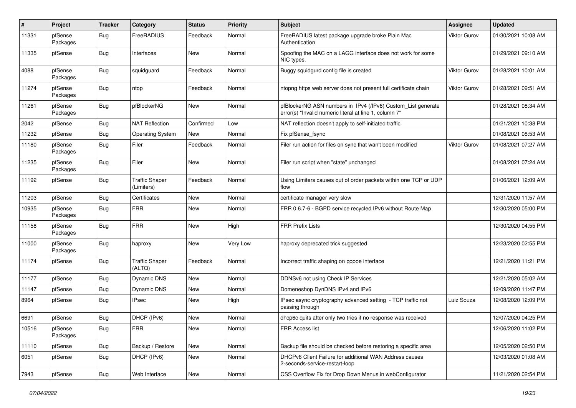| $\pmb{\#}$ | Project             | <b>Tracker</b> | Category                            | <b>Status</b> | <b>Priority</b> | <b>Subject</b>                                                                                                         | <b>Assignee</b>     | <b>Updated</b>      |
|------------|---------------------|----------------|-------------------------------------|---------------|-----------------|------------------------------------------------------------------------------------------------------------------------|---------------------|---------------------|
| 11331      | pfSense<br>Packages | Bug            | FreeRADIUS                          | Feedback      | Normal          | FreeRADIUS latest package upgrade broke Plain Mac<br>Authentication                                                    | <b>Viktor Gurov</b> | 01/30/2021 10:08 AM |
| 11335      | pfSense             | <b>Bug</b>     | Interfaces                          | New           | Normal          | Spoofing the MAC on a LAGG interface does not work for some<br>NIC types.                                              |                     | 01/29/2021 09:10 AM |
| 4088       | pfSense<br>Packages | Bug            | squidguard                          | Feedback      | Normal          | Buggy squidgurd config file is created                                                                                 | <b>Viktor Gurov</b> | 01/28/2021 10:01 AM |
| 11274      | pfSense<br>Packages | Bug            | ntop                                | Feedback      | Normal          | ntopng https web server does not present full certificate chain                                                        | <b>Viktor Gurov</b> | 01/28/2021 09:51 AM |
| 11261      | pfSense<br>Packages | Bug            | pfBlockerNG                         | New           | Normal          | pfBlockerNG ASN numbers in IPv4 (/IPv6) Custom_List generate<br>error(s) "Invalid numeric literal at line 1, column 7" |                     | 01/28/2021 08:34 AM |
| 2042       | pfSense             | Bug            | <b>NAT Reflection</b>               | Confirmed     | Low             | NAT reflection doesn't apply to self-initiated traffic                                                                 |                     | 01/21/2021 10:38 PM |
| 11232      | pfSense             | Bug            | <b>Operating System</b>             | New           | Normal          | Fix pfSense_fsync                                                                                                      |                     | 01/08/2021 08:53 AM |
| 11180      | pfSense<br>Packages | <b>Bug</b>     | Filer                               | Feedback      | Normal          | Filer run action for files on sync that wan't been modified                                                            | Viktor Gurov        | 01/08/2021 07:27 AM |
| 11235      | pfSense<br>Packages | Bug            | Filer                               | <b>New</b>    | Normal          | Filer run script when "state" unchanged                                                                                |                     | 01/08/2021 07:24 AM |
| 11192      | pfSense             | <b>Bug</b>     | <b>Traffic Shaper</b><br>(Limiters) | Feedback      | Normal          | Using Limiters causes out of order packets within one TCP or UDP<br>flow                                               |                     | 01/06/2021 12:09 AM |
| 11203      | pfSense             | Bug            | Certificates                        | New           | Normal          | certificate manager very slow                                                                                          |                     | 12/31/2020 11:57 AM |
| 10935      | pfSense<br>Packages | Bug            | <b>FRR</b>                          | New           | Normal          | FRR 0.6.7-6 - BGPD service recycled IPv6 without Route Map                                                             |                     | 12/30/2020 05:00 PM |
| 11158      | pfSense<br>Packages | Bug            | <b>FRR</b>                          | New           | High            | <b>FRR Prefix Lists</b>                                                                                                |                     | 12/30/2020 04:55 PM |
| 11000      | pfSense<br>Packages | Bug            | haproxy                             | <b>New</b>    | Very Low        | haproxy deprecated trick suggested                                                                                     |                     | 12/23/2020 02:55 PM |
| 11174      | pfSense             | Bug            | <b>Traffic Shaper</b><br>(ALTQ)     | Feedback      | Normal          | Incorrect traffic shaping on pppoe interface                                                                           |                     | 12/21/2020 11:21 PM |
| 11177      | pfSense             | Bug            | Dynamic DNS                         | New           | Normal          | DDNSv6 not using Check IP Services                                                                                     |                     | 12/21/2020 05:02 AM |
| 11147      | pfSense             | Bug            | Dynamic DNS                         | New           | Normal          | Domeneshop DynDNS IPv4 and IPv6                                                                                        |                     | 12/09/2020 11:47 PM |
| 8964       | pfSense             | Bug            | <b>IPsec</b>                        | New           | High            | IPsec async cryptography advanced setting - TCP traffic not<br>passing through                                         | Luiz Souza          | 12/08/2020 12:09 PM |
| 6691       | pfSense             | Bug            | DHCP (IPv6)                         | <b>New</b>    | Normal          | dhcp6c quits after only two tries if no response was received                                                          |                     | 12/07/2020 04:25 PM |
| 10516      | pfSense<br>Packages | Bug            | FRR                                 | New           | Normal          | FRR Access list                                                                                                        |                     | 12/06/2020 11:02 PM |
| 11110      | pfSense             | Bug            | Backup / Restore                    | New           | Normal          | Backup file should be checked before restoring a specific area                                                         |                     | 12/05/2020 02:50 PM |
| 6051       | pfSense             | <b>Bug</b>     | DHCP (IPv6)                         | New           | Normal          | DHCPv6 Client Failure for additional WAN Address causes<br>2-seconds-service-restart-loop                              |                     | 12/03/2020 01:08 AM |
| 7943       | pfSense             | <b>Bug</b>     | Web Interface                       | New           | Normal          | CSS Overflow Fix for Drop Down Menus in webConfigurator                                                                |                     | 11/21/2020 02:54 PM |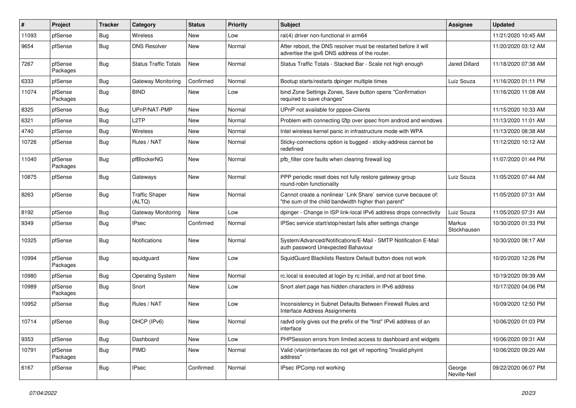| $\sharp$ | Project             | <b>Tracker</b> | Category                        | <b>Status</b> | Priority | Subject                                                                                                                 | <b>Assignee</b>              | <b>Updated</b>      |
|----------|---------------------|----------------|---------------------------------|---------------|----------|-------------------------------------------------------------------------------------------------------------------------|------------------------------|---------------------|
| 11093    | pfSense             | Bug            | <b>Wireless</b>                 | New           | Low      | ral(4) driver non-functional in arm64                                                                                   |                              | 11/21/2020 10:45 AM |
| 9654     | pfSense             | Bug            | <b>DNS Resolver</b>             | New           | Normal   | After reboot, the DNS resolver must be restarted before it will<br>advertise the ipv6 DNS address of the router.        |                              | 11/20/2020 03:12 AM |
| 7267     | pfSense<br>Packages | Bug            | <b>Status Traffic Totals</b>    | <b>New</b>    | Normal   | Status Traffic Totals - Stacked Bar - Scale not high enough                                                             | Jared Dillard                | 11/18/2020 07:38 AM |
| 6333     | pfSense             | Bug            | Gateway Monitoring              | Confirmed     | Normal   | Bootup starts/restarts dpinger multiple times                                                                           | Luiz Souza                   | 11/16/2020 01:11 PM |
| 11074    | pfSense<br>Packages | Bug            | <b>BIND</b>                     | New           | Low      | bind Zone Settings Zones, Save button opens "Confirmation<br>required to save changes"                                  |                              | 11/16/2020 11:08 AM |
| 8325     | pfSense             | Bug            | UPnP/NAT-PMP                    | New           | Normal   | UPnP not available for pppoe-Clients                                                                                    |                              | 11/15/2020 10:33 AM |
| 6321     | pfSense             | Bug            | L <sub>2</sub> TP               | New           | Normal   | Problem with connecting I2tp over ipsec from android and windows                                                        |                              | 11/13/2020 11:01 AM |
| 4740     | pfSense             | Bug            | Wireless                        | New           | Normal   | Intel wireless kernel panic in infrastructure mode with WPA                                                             |                              | 11/13/2020 08:38 AM |
| 10726    | pfSense             | <b>Bug</b>     | Rules / NAT                     | New           | Normal   | Sticky-connections option is bugged - sticky-address cannot be<br>redefined                                             |                              | 11/12/2020 10:12 AM |
| 11040    | pfSense<br>Packages | Bug            | pfBlockerNG                     | New           | Normal   | pfb_filter core faults when clearing firewall log                                                                       |                              | 11/07/2020 01:44 PM |
| 10875    | pfSense             | Bug            | Gateways                        | <b>New</b>    | Normal   | PPP periodic reset does not fully restore gateway group<br>round-robin functionality                                    | Luiz Souza                   | 11/05/2020 07:44 AM |
| 8263     | pfSense             | Bug            | <b>Traffic Shaper</b><br>(ALTQ) | <b>New</b>    | Normal   | Cannot create a nonlinear `Link Share` service curve because of:<br>"the sum of the child bandwidth higher than parent" |                              | 11/05/2020 07:31 AM |
| 8192     | pfSense             | Bug            | <b>Gateway Monitoring</b>       | <b>New</b>    | Low      | dpinger - Change in ISP link-local IPv6 address drops connectivity                                                      | Luiz Souza                   | 11/05/2020 07:31 AM |
| 9349     | pfSense             | Bug            | IPsec                           | Confirmed     | Normal   | IPSec service start/stop/restart fails after settings change                                                            | <b>Markus</b><br>Stockhausen | 10/30/2020 01:33 PM |
| 10325    | pfSense             | Bug            | Notifications                   | New           | Normal   | System/Advanced/Notifications/E-Mail - SMTP Notification E-Mail<br>auth password Unexpected Bahaviour                   |                              | 10/30/2020 08:17 AM |
| 10994    | pfSense<br>Packages | <b>Bug</b>     | squidguard                      | <b>New</b>    | Low      | SquidGuard Blacklists Restore Default button does not work                                                              |                              | 10/20/2020 12:26 PM |
| 10980    | pfSense             | Bug            | <b>Operating System</b>         | New           | Normal   | rc.local is executed at login by rc.initial, and not at boot time.                                                      |                              | 10/19/2020 09:39 AM |
| 10989    | pfSense<br>Packages | Bug            | Snort                           | New           | Low      | Snort alert page has hidden characters in IPv6 address                                                                  |                              | 10/17/2020 04:06 PM |
| 10952    | pfSense             | <b>Bug</b>     | Rules / NAT                     | New           | Low      | Inconsistency in Subnet Defaults Between Firewall Rules and<br>Interface Address Assignments                            |                              | 10/09/2020 12:50 PM |
| 10714    | pfSense             | Bug            | DHCP (IPv6)                     | New           | Normal   | radvd only gives out the prefix of the "first" IPv6 address of an<br>interface                                          |                              | 10/06/2020 01:03 PM |
| 9353     | pfSense             | Bug            | Dashboard                       | New           | Low      | PHPSession errors from limited access to dashboard and widgets                                                          |                              | 10/06/2020 09:31 AM |
| 10791    | pfSense<br>Packages | Bug            | PIMD                            | New           | Normal   | Valid (vlan)interfaces do not get vif reporting "Invalid phyint<br>address"                                             |                              | 10/06/2020 09:20 AM |
| 6167     | pfSense             | Bug            | <b>IPsec</b>                    | Confirmed     | Normal   | IPsec IPComp not working                                                                                                | George<br>Neville-Neil       | 09/22/2020 06:07 PM |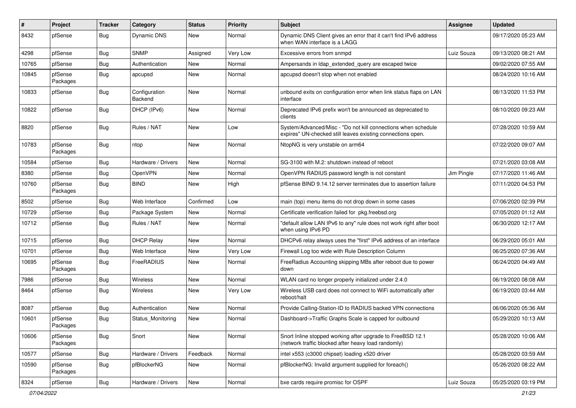| #     | Project             | <b>Tracker</b> | Category                 | <b>Status</b> | <b>Priority</b> | <b>Subject</b>                                                                                                               | <b>Assignee</b> | <b>Updated</b>      |
|-------|---------------------|----------------|--------------------------|---------------|-----------------|------------------------------------------------------------------------------------------------------------------------------|-----------------|---------------------|
| 8432  | pfSense             | Bug            | Dynamic DNS              | New           | Normal          | Dynamic DNS Client gives an error that it can't find IPv6 address<br>when WAN interface is a LAGG                            |                 | 09/17/2020 05:23 AM |
| 4298  | pfSense             | Bug            | <b>SNMP</b>              | Assigned      | Very Low        | Excessive errors from snmpd                                                                                                  | Luiz Souza      | 09/13/2020 08:21 AM |
| 10765 | pfSense             | Bug            | Authentication           | New           | Normal          | Ampersands in Idap_extended_query are escaped twice                                                                          |                 | 09/02/2020 07:55 AM |
| 10845 | pfSense<br>Packages | Bug            | apcupsd                  | <b>New</b>    | Normal          | apcupsd doesn't stop when not enabled                                                                                        |                 | 08/24/2020 10:16 AM |
| 10833 | pfSense             | Bug            | Configuration<br>Backend | New           | Normal          | unbound exits on configuration error when link status flaps on LAN<br>interface                                              |                 | 08/13/2020 11:53 PM |
| 10822 | pfSense             | <b>Bug</b>     | DHCP (IPv6)              | <b>New</b>    | Normal          | Deprecated IPv6 prefix won't be announced as deprecated to<br>clients                                                        |                 | 08/10/2020 09:23 AM |
| 8820  | pfSense             | <b>Bug</b>     | Rules / NAT              | New           | Low             | System/Advanced/Misc - "Do not kill connections when schedule<br>expires" UN-checked still leaves existing connections open. |                 | 07/28/2020 10:59 AM |
| 10783 | pfSense<br>Packages | <b>Bug</b>     | ntop                     | <b>New</b>    | Normal          | NtopNG is very unstable on arm64                                                                                             |                 | 07/22/2020 09:07 AM |
| 10584 | pfSense             | Bug            | Hardware / Drivers       | <b>New</b>    | Normal          | SG-3100 with M.2: shutdown instead of reboot                                                                                 |                 | 07/21/2020 03:08 AM |
| 8380  | pfSense             | <b>Bug</b>     | OpenVPN                  | <b>New</b>    | Normal          | OpenVPN RADIUS password length is not constant                                                                               | Jim Pingle      | 07/17/2020 11:46 AM |
| 10760 | pfSense<br>Packages | Bug            | <b>BIND</b>              | New           | High            | pfSense BIND 9.14.12 server terminates due to assertion failure                                                              |                 | 07/11/2020 04:53 PM |
| 8502  | pfSense             | Bug            | Web Interface            | Confirmed     | Low             | main (top) menu items do not drop down in some cases                                                                         |                 | 07/06/2020 02:39 PM |
| 10729 | pfSense             | <b>Bug</b>     | Package System           | New           | Normal          | Certificate verification failed for pkg.freebsd.org                                                                          |                 | 07/05/2020 01:12 AM |
| 10712 | pfSense             | <b>Bug</b>     | Rules / NAT              | New           | Normal          | "default allow LAN IPv6 to any" rule does not work right after boot<br>when using IPv6 PD                                    |                 | 06/30/2020 12:17 AM |
| 10715 | pfSense             | Bug            | <b>DHCP Relay</b>        | <b>New</b>    | Normal          | DHCPv6 relay always uses the "first" IPv6 address of an interface                                                            |                 | 06/29/2020 05:01 AM |
| 10701 | pfSense             | Bug            | Web Interface            | <b>New</b>    | Very Low        | Firewall Log too wide with Rule Description Column                                                                           |                 | 06/25/2020 07:36 AM |
| 10695 | pfSense<br>Packages | Bug            | FreeRADIUS               | New           | Normal          | FreeRadius Accounting skipping MBs after reboot due to power<br>down                                                         |                 | 06/24/2020 04:49 AM |
| 7986  | pfSense             | Bug            | Wireless                 | <b>New</b>    | Normal          | WLAN card no longer properly initialized under 2.4.0                                                                         |                 | 06/19/2020 08:08 AM |
| 8464  | pfSense             | Bug            | <b>Wireless</b>          | New           | Very Low        | Wireless USB card does not connect to WiFi automatically after<br>reboot/halt                                                |                 | 06/19/2020 03:44 AM |
| 8087  | pfSense             | Bug            | Authentication           | New           | Normal          | Provide Calling-Station-ID to RADIUS backed VPN connections                                                                  |                 | 06/06/2020 05:36 AM |
| 10601 | pfSense<br>Packages | Bug            | Status_Monitoring        | New           | Normal          | Dashboard->Traffic Graphs Scale is capped for outbound                                                                       |                 | 05/29/2020 10:13 AM |
| 10606 | pfSense<br>Packages | Bug            | Snort                    | New           | Normal          | Snort Inline stopped working after upgrade to FreeBSD 12.1<br>(network traffic blocked after heavy load randomly)            |                 | 05/28/2020 10:06 AM |
| 10577 | pfSense             | Bug            | Hardware / Drivers       | Feedback      | Normal          | intel x553 (c3000 chipset) loading x520 driver                                                                               |                 | 05/28/2020 03:59 AM |
| 10590 | pfSense<br>Packages | <b>Bug</b>     | pfBlockerNG              | New           | Normal          | pfBlockerNG: Invalid argument supplied for foreach()                                                                         |                 | 05/26/2020 08:22 AM |
| 8324  | pfSense             | <b>Bug</b>     | Hardware / Drivers       | New           | Normal          | bxe cards require promisc for OSPF                                                                                           | Luiz Souza      | 05/25/2020 03:19 PM |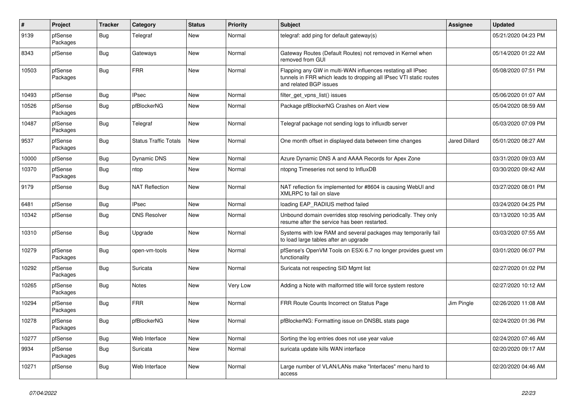| $\sharp$ | Project             | <b>Tracker</b> | Category                     | <b>Status</b> | <b>Priority</b> | <b>Subject</b>                                                                                                                                              | <b>Assignee</b>      | <b>Updated</b>      |
|----------|---------------------|----------------|------------------------------|---------------|-----------------|-------------------------------------------------------------------------------------------------------------------------------------------------------------|----------------------|---------------------|
| 9139     | pfSense<br>Packages | <b>Bug</b>     | Telegraf                     | New           | Normal          | telegraf: add ping for default gateway(s)                                                                                                                   |                      | 05/21/2020 04:23 PM |
| 8343     | pfSense             | Bug            | Gateways                     | New           | Normal          | Gateway Routes (Default Routes) not removed in Kernel when<br>removed from GUI                                                                              |                      | 05/14/2020 01:22 AM |
| 10503    | pfSense<br>Packages | Bug            | <b>FRR</b>                   | <b>New</b>    | Normal          | Flapping any GW in multi-WAN influences restating all IPsec<br>tunnels in FRR which leads to dropping all IPsec VTI static routes<br>and related BGP issues |                      | 05/08/2020 07:51 PM |
| 10493    | pfSense             | <b>Bug</b>     | <b>IPsec</b>                 | New           | Normal          | filter get vpns list() issues                                                                                                                               |                      | 05/06/2020 01:07 AM |
| 10526    | pfSense<br>Packages | <b>Bug</b>     | pfBlockerNG                  | New           | Normal          | Package pfBlockerNG Crashes on Alert view                                                                                                                   |                      | 05/04/2020 08:59 AM |
| 10487    | pfSense<br>Packages | <b>Bug</b>     | Telegraf                     | <b>New</b>    | Normal          | Telegraf package not sending logs to influxdb server                                                                                                        |                      | 05/03/2020 07:09 PM |
| 9537     | pfSense<br>Packages | Bug            | <b>Status Traffic Totals</b> | New           | Normal          | One month offset in displayed data between time changes                                                                                                     | <b>Jared Dillard</b> | 05/01/2020 08:27 AM |
| 10000    | pfSense             | <b>Bug</b>     | Dynamic DNS                  | New           | Normal          | Azure Dynamic DNS A and AAAA Records for Apex Zone                                                                                                          |                      | 03/31/2020 09:03 AM |
| 10370    | pfSense<br>Packages | <b>Bug</b>     | ntop                         | New           | Normal          | ntopng Timeseries not send to InfluxDB                                                                                                                      |                      | 03/30/2020 09:42 AM |
| 9179     | pfSense             | <b>Bug</b>     | <b>NAT Reflection</b>        | New           | Normal          | NAT reflection fix implemented for #8604 is causing WebUI and<br>XMLRPC to fail on slave                                                                    |                      | 03/27/2020 08:01 PM |
| 6481     | pfSense             | <b>Bug</b>     | <b>IPsec</b>                 | New           | Normal          | loading EAP_RADIUS method failed                                                                                                                            |                      | 03/24/2020 04:25 PM |
| 10342    | pfSense             | <b>Bug</b>     | <b>DNS Resolver</b>          | New           | Normal          | Unbound domain overrides stop resolving periodically. They only<br>resume after the service has been restarted.                                             |                      | 03/13/2020 10:35 AM |
| 10310    | pfSense             | Bug            | Upgrade                      | <b>New</b>    | Normal          | Systems with low RAM and several packages may temporarily fail<br>to load large tables after an upgrade                                                     |                      | 03/03/2020 07:55 AM |
| 10279    | pfSense<br>Packages | Bug            | open-vm-tools                | <b>New</b>    | Normal          | pfSense's OpenVM Tools on ESXi 6.7 no longer provides guest vm<br>functionality                                                                             |                      | 03/01/2020 06:07 PM |
| 10292    | pfSense<br>Packages | <b>Bug</b>     | Suricata                     | New           | Normal          | Suricata not respecting SID Mgmt list                                                                                                                       |                      | 02/27/2020 01:02 PM |
| 10265    | pfSense<br>Packages | <b>Bug</b>     | Notes                        | New           | Very Low        | Adding a Note with malformed title will force system restore                                                                                                |                      | 02/27/2020 10:12 AM |
| 10294    | pfSense<br>Packages | <b>Bug</b>     | <b>FRR</b>                   | <b>New</b>    | Normal          | FRR Route Counts Incorrect on Status Page                                                                                                                   | Jim Pingle           | 02/26/2020 11:08 AM |
| 10278    | pfSense<br>Packages | Bug            | pfBlockerNG                  | New           | Normal          | pfBlockerNG: Formatting issue on DNSBL stats page                                                                                                           |                      | 02/24/2020 01:36 PM |
| 10277    | pfSense             | <b>Bug</b>     | Web Interface                | New           | Normal          | Sorting the log entries does not use year value                                                                                                             |                      | 02/24/2020 07:46 AM |
| 9934     | pfSense<br>Packages | <b>Bug</b>     | Suricata                     | New           | Normal          | suricata update kills WAN interface                                                                                                                         |                      | 02/20/2020 09:17 AM |
| 10271    | pfSense             | <b>Bug</b>     | Web Interface                | New           | Normal          | Large number of VLAN/LANs make "Interfaces" menu hard to<br>access                                                                                          |                      | 02/20/2020 04:46 AM |